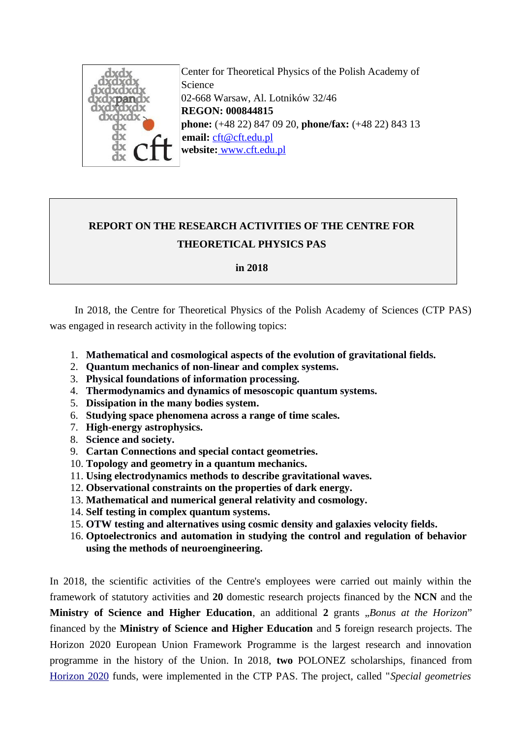

 Center for Theoretical Physics of the Polish Academy of Science 02-668 Warsaw, Al. Lotników 32/46  **REGON: 000844815 phone:** (+48 22) 847 09 20, **phone/fax:** (+48 22) 843 13 69 **email:** [cft@cft.edu.pl](mailto:cft@cft.edu.pl) **website:** [www.cft.edu.pl](http://www.cft.edu.pl/)

# **REPORT ON THE RESEARCH ACTIVITIES OF THE CENTRE FOR THEORETICAL PHYSICS PAS**

**in 2018**

In 2018, the Centre for Theoretical Physics of the Polish Academy of Sciences (CTP PAS) was engaged in research activity in the following topics:

- 1. **Mathematical and cosmological aspects of the evolution of gravitational fields.**
- 2. **Quantum mechanics of non-linear and complex systems.**
- 3. **Physical foundations of information processing.**
- 4. **Thermodynamics and dynamics of mesoscopic quantum systems.**
- 5. **Dissipation in the many bodies system.**
- 6. **Studying space phenomena across a range of time scales.**
- 7. **High-energy astrophysics.**
- 8. **Science and society.**
- 9. **Cartan Connections and special contact geometries.**
- 10. **Topology and geometry in a quantum mechanics.**
- 11. **Using electrodynamics methods to describe gravitational waves.**
- 12. **Observational constraints on the properties of dark energy.**
- 13. **Mathematical and numerical general relativity and cosmology.**
- 14. **Self testing in complex quantum systems.**
- 15. **OTW testing and alternatives using cosmic density and galaxies velocity fields.**
- 16. **Optoelectronics and automation in studying the control and regulation of behavior using the methods of neuroengineering.**

In 2018, the scientific activities of the Centre's employees were carried out mainly within the framework of statutory activities and **20** domestic research projects financed by the **NCN** and the **Ministry of Science and Higher Education**, an additional 2 grants "Bonus at the Horizon" financed by the **Ministry of Science and Higher Education** and **5** foreign research projects. The Horizon 2020 European Union Framework Programme is the largest research and innovation programme in the history of the Union. In 2018, **two** POLONEZ scholarships, financed from [Horizon 2020](http://ec.europa.eu/programmes/horizon2020/en) funds, were implemented in the CTP PAS. The project, called "*Special geometries*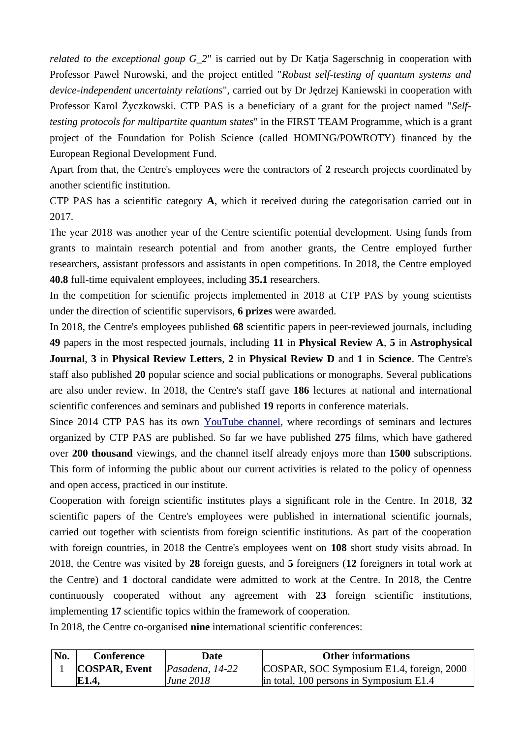*related to the exceptional goup G\_2*" is carried out by Dr Katja Sagerschnig in cooperation with Professor Paweł Nurowski, and the project entitled "*Robust self-testing of quantum systems and device-independent uncertainty relations*", carried out by Dr Jędrzej Kaniewski in cooperation with Professor Karol Życzkowski. CTP PAS is a beneficiary of a grant for the project named "*Selftesting protocols for multipartite quantum states*" in the FIRST TEAM Programme, which is a grant project of the Foundation for Polish Science (called HOMING/POWROTY) financed by the European Regional Development Fund.

Apart from that, the Centre's employees were the contractors of **2** research projects coordinated by another scientific institution.

CTP PAS has a scientific category **A**, which it received during the categorisation carried out in 2017.

The year 2018 was another year of the Centre scientific potential development. Using funds from grants to maintain research potential and from another grants, the Centre employed further researchers, assistant professors and assistants in open competitions. In 2018, the Centre employed **40.8** full-time equivalent employees, including **35.1** researchers.

In the competition for scientific projects implemented in 2018 at CTP PAS by young scientists under the direction of scientific supervisors, **6 prizes** were awarded.

In 2018, the Centre's employees published **68** scientific papers in peer-reviewed journals, including **49** papers in the most respected journals, including **11** in **Physical Review A**, **5** in **Astrophysical Journal**, **3** in **Physical Review Letters**, **2** in **Physical Review D** and **1** in **Science**. The Centre's staff also published **20** popular science and social publications or monographs. Several publications are also under review. In 2018, the Centre's staff gave **186** lectures at national and international scientific conferences and seminars and published **19** reports in conference materials.

Since 2014 CTP PAS has its own [YouTube channel](https://www.youtube.com/channel/UCBmbEBj4eybdApFesQCcc2w), where recordings of seminars and lectures organized by CTP PAS are published. So far we have published **275** films, which have gathered over **200 thousand** viewings, and the channel itself already enjoys more than **1500** subscriptions. This form of informing the public about our current activities is related to the policy of openness and open access, practiced in our institute.

Cooperation with foreign scientific institutes plays a significant role in the Centre. In 2018, **32** scientific papers of the Centre's employees were published in international scientific journals, carried out together with scientists from foreign scientific institutions. As part of the cooperation with foreign countries, in 2018 the Centre's employees went on **108** short study visits abroad. In 2018, the Centre was visited by **28** foreign guests, and **5** foreigners (**12** foreigners in total work at the Centre) and **1** doctoral candidate were admitted to work at the Centre. In 2018, the Centre continuously cooperated without any agreement with **23** foreign scientific institutions, implementing **17** scientific topics within the framework of cooperation.

In 2018, the Centre co-organised **nine** international scientific conferences:

| No. | Conference<br>Date                      |           | <b>Other informations</b>                       |  |
|-----|-----------------------------------------|-----------|-------------------------------------------------|--|
|     | <b>COSPAR, Event</b><br>Pasadena, 14-22 |           | COSPAR, SOC Symposium E1.4, foreign, 2000       |  |
|     | E1.4,                                   | June 2018 | $\vert$ in total, 100 persons in Symposium E1.4 |  |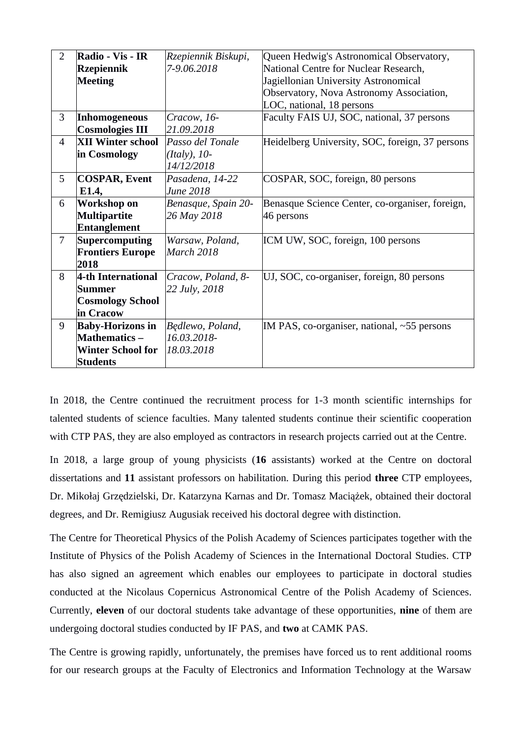| $\overline{2}$ | Radio - Vis - IR<br><b>Rzepiennik</b><br><b>Meeting</b>                                        | Rzepiennik Biskupi,<br>7-9.06.2018               | Queen Hedwig's Astronomical Observatory,<br>National Centre for Nuclear Research,<br>Jagiellonian University Astronomical<br>Observatory, Nova Astronomy Association,<br>LOC, national, 18 persons |  |
|----------------|------------------------------------------------------------------------------------------------|--------------------------------------------------|----------------------------------------------------------------------------------------------------------------------------------------------------------------------------------------------------|--|
| 3              | Inhomogeneous<br><b>Cosmologies III</b>                                                        | Cracow, 16-<br>21.09.2018                        | Faculty FAIS UJ, SOC, national, 37 persons                                                                                                                                                         |  |
| $\overline{4}$ | <b>XII Winter school</b><br>in Cosmology                                                       | Passo del Tonale<br>$(Italy), 10-$<br>14/12/2018 | Heidelberg University, SOC, foreign, 37 persons                                                                                                                                                    |  |
| 5              | <b>COSPAR, Event</b><br>E1.4,                                                                  | Pasadena, 14-22<br>June 2018                     | COSPAR, SOC, foreign, 80 persons                                                                                                                                                                   |  |
| 6              | Workshop on<br><b>Multipartite</b><br><b>Entanglement</b>                                      | Benasque, Spain 20-<br>26 May 2018               | Benasque Science Center, co-organiser, foreign,<br>46 persons                                                                                                                                      |  |
| $\overline{7}$ | <b>Supercomputing</b><br><b>Frontiers Europe</b><br>2018                                       | Warsaw, Poland,<br>March 2018                    | ICM UW, SOC, foreign, 100 persons                                                                                                                                                                  |  |
| 8              | 4-th International<br>Summer<br><b>Cosmology School</b><br>in Cracow                           | Cracow, Poland, 8-<br>22 July, 2018              | UJ, SOC, co-organiser, foreign, 80 persons                                                                                                                                                         |  |
| 9              | <b>Baby-Horizons in</b><br><b>Mathematics -</b><br><b>Winter School for</b><br><b>Students</b> | Będlewo, Poland,<br>16.03.2018-<br>18.03.2018    | IM PAS, co-organiser, national, ~55 persons                                                                                                                                                        |  |

In 2018, the Centre continued the recruitment process for 1-3 month scientific internships for talented students of science faculties. Many talented students continue their scientific cooperation with CTP PAS, they are also employed as contractors in research projects carried out at the Centre.

In 2018, a large group of young physicists (**16** assistants) worked at the Centre on doctoral dissertations and **11** assistant professors on habilitation. During this period **three** CTP employees, Dr. Mikołaj Grzędzielski, Dr. Katarzyna Karnas and Dr. Tomasz Maciążek, obtained their doctoral degrees, and Dr. Remigiusz Augusiak received his doctoral degree with distinction.

The Centre for Theoretical Physics of the Polish Academy of Sciences participates together with the Institute of Physics of the Polish Academy of Sciences in the International Doctoral Studies. CTP has also signed an agreement which enables our employees to participate in doctoral studies conducted at the Nicolaus Copernicus Astronomical Centre of the Polish Academy of Sciences. Currently, **eleven** of our doctoral students take advantage of these opportunities, **nine** of them are undergoing doctoral studies conducted by IF PAS, and **two** at CAMK PAS.

The Centre is growing rapidly, unfortunately, the premises have forced us to rent additional rooms for our research groups at the Faculty of Electronics and Information Technology at the Warsaw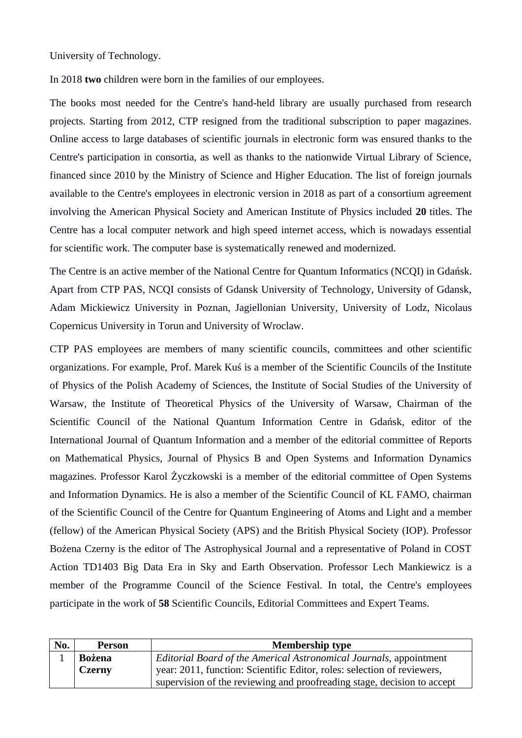University of Technology.

In 2018 **two** children were born in the families of our employees.

The books most needed for the Centre's hand-held library are usually purchased from research projects. Starting from 2012, CTP resigned from the traditional subscription to paper magazines. Online access to large databases of scientific journals in electronic form was ensured thanks to the Centre's participation in consortia, as well as thanks to the nationwide Virtual Library of Science, financed since 2010 by the Ministry of Science and Higher Education. The list of foreign journals available to the Centre's employees in electronic version in 2018 as part of a consortium agreement involving the American Physical Society and American Institute of Physics included **20** titles. The Centre has a local computer network and high speed internet access, which is nowadays essential for scientific work. The computer base is systematically renewed and modernized.

The Centre is an active member of the National Centre for Quantum Informatics (NCQI) in Gdańsk. Apart from CTP PAS, NCQI consists of Gdansk University of Technology, University of Gdansk, Adam Mickiewicz University in Poznan, Jagiellonian University, University of Lodz, Nicolaus Copernicus University in Torun and University of Wroclaw.

CTP PAS employees are members of many scientific councils, committees and other scientific organizations. For example, Prof. Marek Kuś is a member of the Scientific Councils of the Institute of Physics of the Polish Academy of Sciences, the Institute of Social Studies of the University of Warsaw, the Institute of Theoretical Physics of the University of Warsaw, Chairman of the Scientific Council of the National Quantum Information Centre in Gdańsk, editor of the International Journal of Quantum Information and a member of the editorial committee of Reports on Mathematical Physics, Journal of Physics B and Open Systems and Information Dynamics magazines. Professor Karol Życzkowski is a member of the editorial committee of Open Systems and Information Dynamics. He is also a member of the Scientific Council of KL FAMO, chairman of the Scientific Council of the Centre for Quantum Engineering of Atoms and Light and a member (fellow) of the American Physical Society (APS) and the British Physical Society (IOP). Professor Bożena Czerny is the editor of The Astrophysical Journal and a representative of Poland in COST Action TD1403 Big Data Era in Sky and Earth Observation. Professor Lech Mankiewicz is a member of the Programme Council of the Science Festival. In total, the Centre's employees participate in the work of **58** Scientific Councils, Editorial Committees and Expert Teams.

| No. | <b>Person</b>                                                                | <b>Membership type</b>                                                  |  |  |
|-----|------------------------------------------------------------------------------|-------------------------------------------------------------------------|--|--|
|     | Editorial Board of the Americal Astronomical Journals, appointment<br>Bożena |                                                                         |  |  |
|     | <b>Czerny</b>                                                                | year: 2011, function: Scientific Editor, roles: selection of reviewers, |  |  |
|     |                                                                              | supervision of the reviewing and proofreading stage, decision to accept |  |  |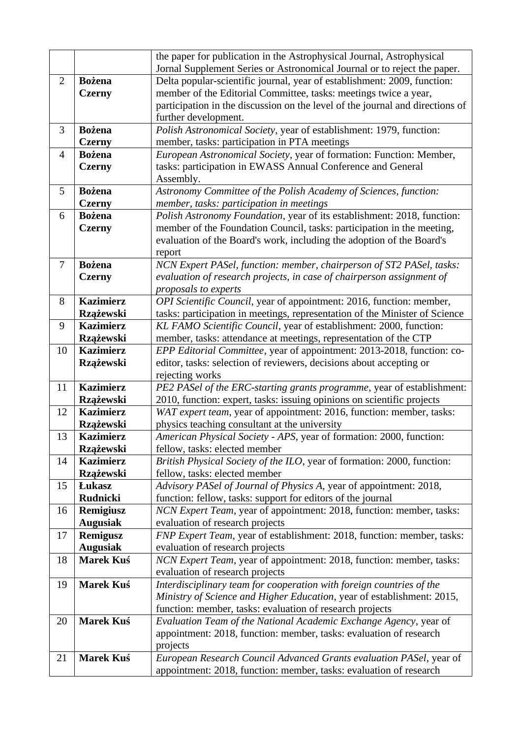|                |                                      | the paper for publication in the Astrophysical Journal, Astrophysical                                                                             |  |
|----------------|--------------------------------------|---------------------------------------------------------------------------------------------------------------------------------------------------|--|
|                |                                      | Jornal Supplement Series or Astronomical Journal or to reject the paper.                                                                          |  |
| 2              | <b>Bożena</b>                        | Delta popular-scientific journal, year of establishment: 2009, function:                                                                          |  |
|                | <b>Czerny</b>                        | member of the Editorial Committee, tasks: meetings twice a year,                                                                                  |  |
|                |                                      | participation in the discussion on the level of the journal and directions of                                                                     |  |
|                |                                      | further development.                                                                                                                              |  |
| 3              | <b>Bożena</b>                        | Polish Astronomical Society, year of establishment: 1979, function:                                                                               |  |
|                | <b>Czerny</b>                        | member, tasks: participation in PTA meetings                                                                                                      |  |
| $\overline{4}$ | <b>Bożena</b>                        | European Astronomical Society, year of formation: Function: Member,                                                                               |  |
|                | <b>Czerny</b>                        | tasks: participation in EWASS Annual Conference and General                                                                                       |  |
|                |                                      | Assembly.                                                                                                                                         |  |
| 5              | <b>Bożena</b>                        | Astronomy Committee of the Polish Academy of Sciences, function:                                                                                  |  |
|                | <b>Czerny</b>                        | member, tasks: participation in meetings                                                                                                          |  |
| 6              | <b>Bożena</b>                        | Polish Astronomy Foundation, year of its establishment: 2018, function:                                                                           |  |
|                | <b>Czerny</b>                        | member of the Foundation Council, tasks: participation in the meeting,                                                                            |  |
|                |                                      | evaluation of the Board's work, including the adoption of the Board's                                                                             |  |
|                |                                      | report                                                                                                                                            |  |
| $\overline{7}$ | <b>Bożena</b>                        | NCN Expert PASel, function: member, chairperson of ST2 PASel, tasks:                                                                              |  |
|                | <b>Czerny</b>                        | evaluation of research projects, in case of chairperson assignment of                                                                             |  |
|                |                                      | proposals to experts                                                                                                                              |  |
| 8              | <b>Kazimierz</b>                     | OPI Scientific Council, year of appointment: 2016, function: member,                                                                              |  |
| 9              | <b>Rzążewski</b><br><b>Kazimierz</b> | tasks: participation in meetings, representation of the Minister of Science<br>KL FAMO Scientific Council, year of establishment: 2000, function: |  |
|                | Rzążewski                            | member, tasks: attendance at meetings, representation of the CTP                                                                                  |  |
| 10             | <b>Kazimierz</b>                     | EPP Editorial Committee, year of appointment: 2013-2018, function: co-                                                                            |  |
|                | Rzążewski                            | editor, tasks: selection of reviewers, decisions about accepting or                                                                               |  |
|                |                                      | rejecting works                                                                                                                                   |  |
| 11             | <b>Kazimierz</b>                     | PE2 PASel of the ERC-starting grants programme, year of establishment:                                                                            |  |
|                | <b>Rzążewski</b>                     | 2010, function: expert, tasks: issuing opinions on scientific projects                                                                            |  |
| 12             | <b>Kazimierz</b>                     | WAT expert team, year of appointment: 2016, function: member, tasks:                                                                              |  |
|                | <b>Rzążewski</b>                     | physics teaching consultant at the university                                                                                                     |  |
| 13             | <b>Kazimierz</b>                     | American Physical Society - APS, year of formation: 2000, function:                                                                               |  |
|                | <b>Rzążewski</b>                     | fellow, tasks: elected member                                                                                                                     |  |
| 14             | <b>Kazimierz</b>                     | British Physical Society of the ILO, year of formation: 2000, function:                                                                           |  |
|                | Rzążewski                            | fellow, tasks: elected member                                                                                                                     |  |
| 15             | <b>Lukasz</b>                        | Advisory PASel of Journal of Physics A, year of appointment: 2018,                                                                                |  |
|                | <b>Rudnicki</b>                      | function: fellow, tasks: support for editors of the journal                                                                                       |  |
| 16             | Remigiusz                            | NCN Expert Team, year of appointment: 2018, function: member, tasks:                                                                              |  |
|                | <b>Augusiak</b>                      | evaluation of research projects                                                                                                                   |  |
| 17             | <b>Remigusz</b>                      | FNP Expert Team, year of establishment: 2018, function: member, tasks:                                                                            |  |
|                | <b>Augusiak</b>                      | evaluation of research projects                                                                                                                   |  |
| 18             | <b>Marek Kuś</b>                     | NCN Expert Team, year of appointment: 2018, function: member, tasks:                                                                              |  |
|                |                                      | evaluation of research projects                                                                                                                   |  |
| 19             | Marek Kuś                            | Interdisciplinary team for cooperation with foreign countries of the                                                                              |  |
|                |                                      | Ministry of Science and Higher Education, year of establishment: 2015,                                                                            |  |
| 20             | Marek Kuś                            | function: member, tasks: evaluation of research projects<br>Evaluation Team of the National Academic Exchange Agency, year of                     |  |
|                |                                      | appointment: 2018, function: member, tasks: evaluation of research                                                                                |  |
|                |                                      | projects                                                                                                                                          |  |
| 21             | Marek Kuś                            | European Research Council Advanced Grants evaluation PASel, year of                                                                               |  |
|                |                                      | appointment: 2018, function: member, tasks: evaluation of research                                                                                |  |
|                |                                      |                                                                                                                                                   |  |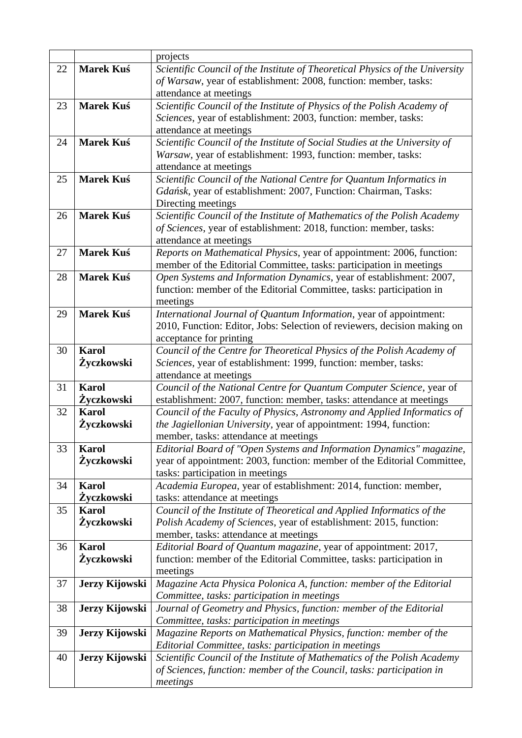|    |                  | projects                                                                                                                                       |  |
|----|------------------|------------------------------------------------------------------------------------------------------------------------------------------------|--|
| 22 | <b>Marek Kuś</b> | Scientific Council of the Institute of Theoretical Physics of the University                                                                   |  |
|    |                  | of Warsaw, year of establishment: 2008, function: member, tasks:                                                                               |  |
|    |                  | attendance at meetings                                                                                                                         |  |
| 23 | <b>Marek Kuś</b> | Scientific Council of the Institute of Physics of the Polish Academy of                                                                        |  |
|    |                  | Sciences, year of establishment: 2003, function: member, tasks:                                                                                |  |
|    |                  | attendance at meetings                                                                                                                         |  |
| 24 | <b>Marek Kuś</b> | Scientific Council of the Institute of Social Studies at the University of                                                                     |  |
|    |                  | Warsaw, year of establishment: 1993, function: member, tasks:                                                                                  |  |
|    |                  | attendance at meetings                                                                                                                         |  |
| 25 | Marek Kuś        | Scientific Council of the National Centre for Quantum Informatics in                                                                           |  |
|    |                  | Gdańsk, year of establishment: 2007, Function: Chairman, Tasks:                                                                                |  |
|    |                  | Directing meetings                                                                                                                             |  |
| 26 | <b>Marek Kuś</b> | Scientific Council of the Institute of Mathematics of the Polish Academy                                                                       |  |
|    |                  | of Sciences, year of establishment: 2018, function: member, tasks:                                                                             |  |
|    |                  | attendance at meetings                                                                                                                         |  |
| 27 | <b>Marek Kuś</b> | Reports on Mathematical Physics, year of appointment: 2006, function:                                                                          |  |
|    |                  | member of the Editorial Committee, tasks: participation in meetings                                                                            |  |
| 28 | <b>Marek Kuś</b> | Open Systems and Information Dynamics, year of establishment: 2007,                                                                            |  |
|    |                  | function: member of the Editorial Committee, tasks: participation in                                                                           |  |
| 29 | <b>Marek Kuś</b> | meetings                                                                                                                                       |  |
|    |                  | International Journal of Quantum Information, year of appointment:<br>2010, Function: Editor, Jobs: Selection of reviewers, decision making on |  |
|    |                  | acceptance for printing                                                                                                                        |  |
| 30 | <b>Karol</b>     | Council of the Centre for Theoretical Physics of the Polish Academy of                                                                         |  |
|    | Życzkowski       | Sciences, year of establishment: 1999, function: member, tasks:                                                                                |  |
|    |                  | attendance at meetings                                                                                                                         |  |
| 31 | <b>Karol</b>     | Council of the National Centre for Quantum Computer Science, year of                                                                           |  |
|    | Žyczkowski       | establishment: 2007, function: member, tasks: attendance at meetings                                                                           |  |
| 32 | <b>Karol</b>     | Council of the Faculty of Physics, Astronomy and Applied Informatics of                                                                        |  |
|    | Życzkowski       | the Jagiellonian University, year of appointment: 1994, function:                                                                              |  |
|    |                  | member, tasks: attendance at meetings                                                                                                          |  |
| 33 | <b>Karol</b>     | Editorial Board of "Open Systems and Information Dynamics" magazine,                                                                           |  |
|    | Życzkowski       | year of appointment: 2003, function: member of the Editorial Committee,                                                                        |  |
|    |                  | tasks: participation in meetings                                                                                                               |  |
| 34 | <b>Karol</b>     | Academia Europea, year of establishment: 2014, function: member,                                                                               |  |
|    | Życzkowski       | tasks: attendance at meetings                                                                                                                  |  |
| 35 | <b>Karol</b>     | Council of the Institute of Theoretical and Applied Informatics of the                                                                         |  |
|    | Życzkowski       | Polish Academy of Sciences, year of establishment: 2015, function:                                                                             |  |
|    |                  | member, tasks: attendance at meetings                                                                                                          |  |
| 36 | <b>Karol</b>     | Editorial Board of Quantum magazine, year of appointment: 2017,                                                                                |  |
|    | Życzkowski       | function: member of the Editorial Committee, tasks: participation in                                                                           |  |
|    |                  | meetings                                                                                                                                       |  |
| 37 | Jerzy Kijowski   | Magazine Acta Physica Polonica A, function: member of the Editorial                                                                            |  |
|    |                  | Committee, tasks: participation in meetings                                                                                                    |  |
| 38 | Jerzy Kijowski   | Journal of Geometry and Physics, function: member of the Editorial                                                                             |  |
| 39 | Jerzy Kijowski   | Committee, tasks: participation in meetings<br>Magazine Reports on Mathematical Physics, function: member of the                               |  |
|    |                  | Editorial Committee, tasks: participation in meetings                                                                                          |  |
| 40 | Jerzy Kijowski   | Scientific Council of the Institute of Mathematics of the Polish Academy                                                                       |  |
|    |                  | of Sciences, function: member of the Council, tasks: participation in                                                                          |  |
|    |                  | meetings                                                                                                                                       |  |
|    |                  |                                                                                                                                                |  |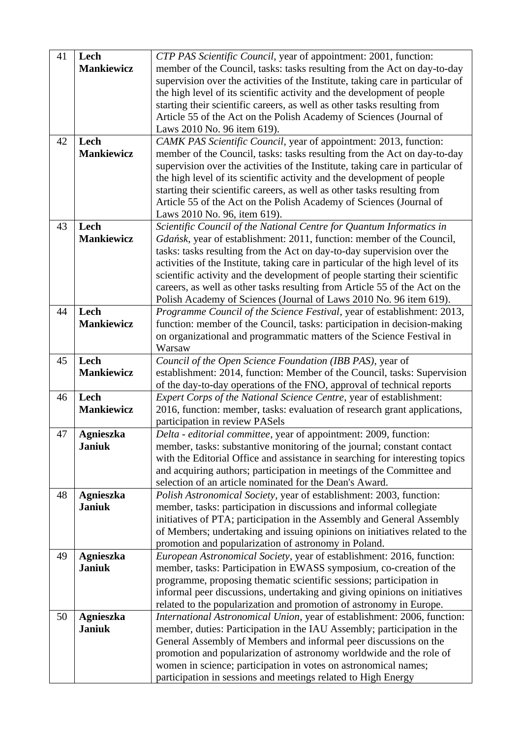| 41 | Lech                              | CTP PAS Scientific Council, year of appointment: 2001, function:                                                                                    |
|----|-----------------------------------|-----------------------------------------------------------------------------------------------------------------------------------------------------|
|    | <b>Mankiewicz</b>                 | member of the Council, tasks: tasks resulting from the Act on day-to-day                                                                            |
|    |                                   | supervision over the activities of the Institute, taking care in particular of                                                                      |
|    |                                   | the high level of its scientific activity and the development of people                                                                             |
|    |                                   | starting their scientific careers, as well as other tasks resulting from                                                                            |
|    |                                   | Article 55 of the Act on the Polish Academy of Sciences (Journal of                                                                                 |
|    |                                   | Laws 2010 No. 96 item 619).                                                                                                                         |
| 42 | Lech                              | CAMK PAS Scientific Council, year of appointment: 2013, function:                                                                                   |
|    | <b>Mankiewicz</b>                 | member of the Council, tasks: tasks resulting from the Act on day-to-day                                                                            |
|    |                                   | supervision over the activities of the Institute, taking care in particular of                                                                      |
|    |                                   | the high level of its scientific activity and the development of people                                                                             |
|    |                                   | starting their scientific careers, as well as other tasks resulting from                                                                            |
|    |                                   | Article 55 of the Act on the Polish Academy of Sciences (Journal of                                                                                 |
|    |                                   | Laws 2010 No. 96, item 619).                                                                                                                        |
| 43 | Lech<br><b>Mankiewicz</b>         | Scientific Council of the National Centre for Quantum Informatics in<br>Gdańsk, year of establishment: 2011, function: member of the Council,       |
|    |                                   | tasks: tasks resulting from the Act on day-to-day supervision over the                                                                              |
|    |                                   | activities of the Institute, taking care in particular of the high level of its                                                                     |
|    |                                   | scientific activity and the development of people starting their scientific                                                                         |
|    |                                   | careers, as well as other tasks resulting from Article 55 of the Act on the                                                                         |
|    |                                   | Polish Academy of Sciences (Journal of Laws 2010 No. 96 item 619).                                                                                  |
| 44 | Lech                              | Programme Council of the Science Festival, year of establishment: 2013,                                                                             |
|    | <b>Mankiewicz</b>                 | function: member of the Council, tasks: participation in decision-making                                                                            |
|    |                                   | on organizational and programmatic matters of the Science Festival in                                                                               |
|    |                                   | Warsaw                                                                                                                                              |
| 45 | Lech                              | Council of the Open Science Foundation (IBB PAS), year of                                                                                           |
|    | <b>Mankiewicz</b>                 | establishment: 2014, function: Member of the Council, tasks: Supervision                                                                            |
|    |                                   | of the day-to-day operations of the FNO, approval of technical reports                                                                              |
| 46 | Lech                              | Expert Corps of the National Science Centre, year of establishment:                                                                                 |
|    | <b>Mankiewicz</b>                 | 2016, function: member, tasks: evaluation of research grant applications,                                                                           |
|    |                                   | participation in review PASels                                                                                                                      |
| 47 | <b>Agnieszka</b><br><b>Janiuk</b> | Delta - editorial committee, year of appointment: 2009, function:<br>member, tasks: substantive monitoring of the journal; constant contact         |
|    |                                   | with the Editorial Office and assistance in searching for interesting topics                                                                        |
|    |                                   | and acquiring authors; participation in meetings of the Committee and                                                                               |
|    |                                   | selection of an article nominated for the Dean's Award.                                                                                             |
| 48 | <b>Agnieszka</b>                  | Polish Astronomical Society, year of establishment: 2003, function:                                                                                 |
|    | <b>Janiuk</b>                     | member, tasks: participation in discussions and informal collegiate                                                                                 |
|    |                                   | initiatives of PTA; participation in the Assembly and General Assembly                                                                              |
|    |                                   | of Members; undertaking and issuing opinions on initiatives related to the                                                                          |
|    |                                   | promotion and popularization of astronomy in Poland.                                                                                                |
| 49 | <b>Agnieszka</b>                  | European Astronomical Society, year of establishment: 2016, function:                                                                               |
|    | <b>Janiuk</b>                     | member, tasks: Participation in EWASS symposium, co-creation of the                                                                                 |
|    |                                   | programme, proposing thematic scientific sessions; participation in                                                                                 |
|    |                                   | informal peer discussions, undertaking and giving opinions on initiatives                                                                           |
|    |                                   | related to the popularization and promotion of astronomy in Europe.                                                                                 |
| 50 | <b>Agnieszka</b><br><b>Janiuk</b> | International Astronomical Union, year of establishment: 2006, function:<br>member, duties: Participation in the IAU Assembly; participation in the |
|    |                                   | General Assembly of Members and informal peer discussions on the                                                                                    |
|    |                                   | promotion and popularization of astronomy worldwide and the role of                                                                                 |
|    |                                   | women in science; participation in votes on astronomical names;                                                                                     |
|    |                                   | participation in sessions and meetings related to High Energy                                                                                       |
|    |                                   |                                                                                                                                                     |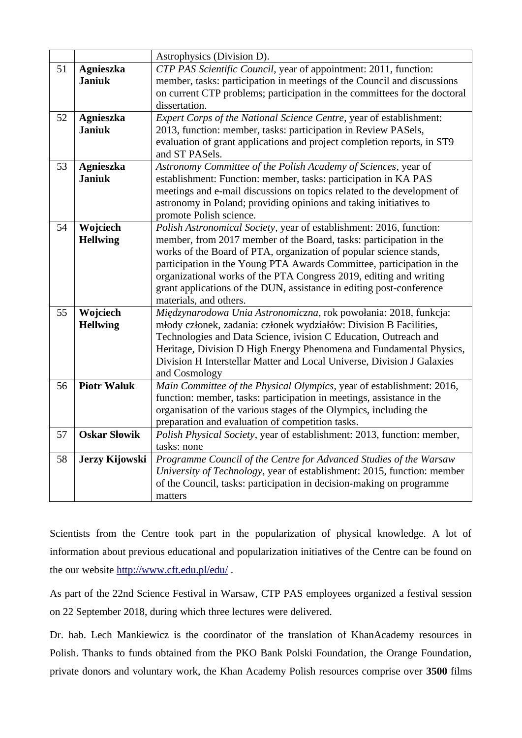|    |                     | Astrophysics (Division D).                                                                 |
|----|---------------------|--------------------------------------------------------------------------------------------|
| 51 | <b>Agnieszka</b>    | CTP PAS Scientific Council, year of appointment: 2011, function:                           |
|    | <b>Janiuk</b>       | member, tasks: participation in meetings of the Council and discussions                    |
|    |                     | on current CTP problems; participation in the committees for the doctoral                  |
|    |                     | dissertation.                                                                              |
| 52 | <b>Agnieszka</b>    | Expert Corps of the National Science Centre, year of establishment:                        |
|    | <b>Janiuk</b>       | 2013, function: member, tasks: participation in Review PASels,                             |
|    |                     | evaluation of grant applications and project completion reports, in ST9                    |
|    |                     | and ST PASels.                                                                             |
| 53 | <b>Agnieszka</b>    | Astronomy Committee of the Polish Academy of Sciences, year of                             |
|    | <b>Janiuk</b>       | establishment: Function: member, tasks: participation in KA PAS                            |
|    |                     | meetings and e-mail discussions on topics related to the development of                    |
|    |                     | astronomy in Poland; providing opinions and taking initiatives to                          |
|    |                     | promote Polish science.                                                                    |
| 54 | Wojciech            | Polish Astronomical Society, year of establishment: 2016, function:                        |
|    | <b>Hellwing</b>     | member, from 2017 member of the Board, tasks: participation in the                         |
|    |                     | works of the Board of PTA, organization of popular science stands,                         |
|    |                     | participation in the Young PTA Awards Committee, participation in the                      |
|    |                     | organizational works of the PTA Congress 2019, editing and writing                         |
|    |                     | grant applications of the DUN, assistance in editing post-conference                       |
| 55 | Wojciech            | materials, and others.<br>Międzynarodowa Unia Astronomiczna, rok powołania: 2018, funkcja: |
|    | <b>Hellwing</b>     | młody członek, zadania: członek wydziałów: Division B Facilities,                          |
|    |                     | Technologies and Data Science, ivision C Education, Outreach and                           |
|    |                     | Heritage, Division D High Energy Phenomena and Fundamental Physics,                        |
|    |                     | Division H Interstellar Matter and Local Universe, Division J Galaxies                     |
|    |                     | and Cosmology                                                                              |
| 56 | <b>Piotr Waluk</b>  | Main Committee of the Physical Olympics, year of establishment: 2016,                      |
|    |                     | function: member, tasks: participation in meetings, assistance in the                      |
|    |                     | organisation of the various stages of the Olympics, including the                          |
|    |                     | preparation and evaluation of competition tasks.                                           |
| 57 | <b>Oskar Słowik</b> | Polish Physical Society, year of establishment: 2013, function: member,                    |
|    |                     | tasks: none                                                                                |
| 58 | Jerzy Kijowski      | Programme Council of the Centre for Advanced Studies of the Warsaw                         |
|    |                     | University of Technology, year of establishment: 2015, function: member                    |
|    |                     | of the Council, tasks: participation in decision-making on programme                       |
|    |                     | matters                                                                                    |

Scientists from the Centre took part in the popularization of physical knowledge. A lot of information about previous educational and popularization initiatives of the Centre can be found on the our website<http://www.cft.edu.pl/edu/>.

As part of the 22nd Science Festival in Warsaw, CTP PAS employees organized a festival session on 22 September 2018, during which three lectures were delivered.

Dr. hab. Lech Mankiewicz is the coordinator of the translation of KhanAcademy resources in Polish. Thanks to funds obtained from the PKO Bank Polski Foundation, the Orange Foundation, private donors and voluntary work, the Khan Academy Polish resources comprise over **3500** films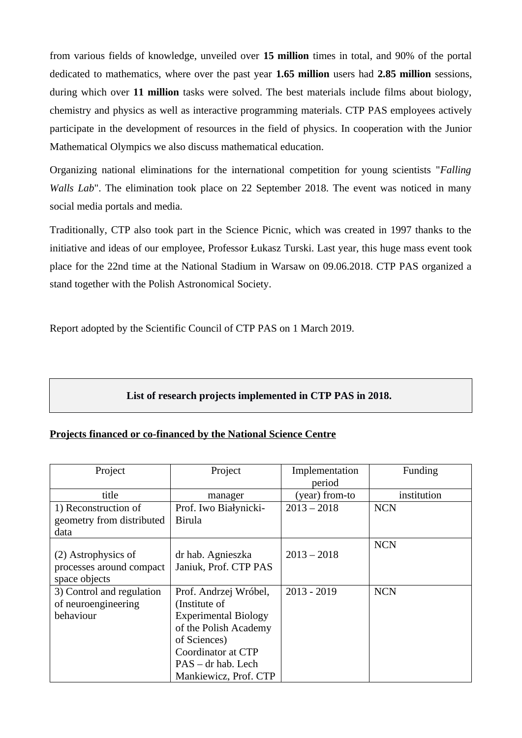from various fields of knowledge, unveiled over **15 million** times in total, and 90% of the portal dedicated to mathematics, where over the past year **1.65 million** users had **2.85 million** sessions, during which over **11 million** tasks were solved. The best materials include films about biology, chemistry and physics as well as interactive programming materials. CTP PAS employees actively participate in the development of resources in the field of physics. In cooperation with the Junior Mathematical Olympics we also discuss mathematical education.

Organizing national eliminations for the international competition for young scientists "*Falling Walls Lab*". The elimination took place on 22 September 2018. The event was noticed in many social media portals and media.

Traditionally, CTP also took part in the Science Picnic, which was created in 1997 thanks to the initiative and ideas of our employee, Professor Łukasz Turski. Last year, this huge mass event took place for the 22nd time at the National Stadium in Warsaw on 09.06.2018. CTP PAS organized a stand together with the Polish Astronomical Society.

Report adopted by the Scientific Council of CTP PAS on 1 March 2019.

#### **List of research projects implemented in CTP PAS in 2018.**

#### **Projects financed or co-financed by the National Science Centre**

| Project                                                          | Project                                                                                                                                                                             | Implementation<br>period | Funding     |
|------------------------------------------------------------------|-------------------------------------------------------------------------------------------------------------------------------------------------------------------------------------|--------------------------|-------------|
| title                                                            | manager                                                                                                                                                                             | (year) from-to           | institution |
| 1) Reconstruction of<br>geometry from distributed<br>data        | Prof. Iwo Białynicki-<br><b>Birula</b>                                                                                                                                              | $2013 - 2018$            | <b>NCN</b>  |
| (2) Astrophysics of<br>processes around compact<br>space objects | dr hab. Agnieszka<br>Janiuk, Prof. CTP PAS                                                                                                                                          | $2013 - 2018$            | <b>NCN</b>  |
| 3) Control and regulation<br>of neuroengineering<br>behaviour    | Prof. Andrzej Wróbel,<br>(Institute of<br><b>Experimental Biology</b><br>of the Polish Academy<br>of Sciences)<br>Coordinator at CTP<br>PAS – dr hab. Lech<br>Mankiewicz, Prof. CTP | $2013 - 2019$            | <b>NCN</b>  |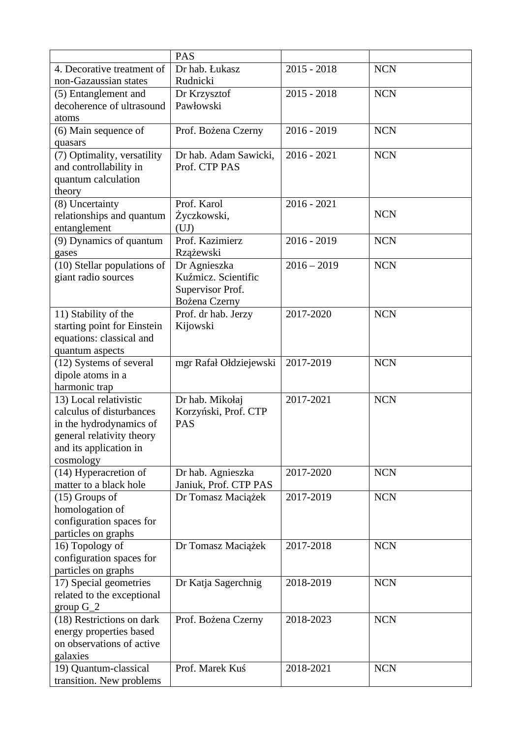|                             | <b>PAS</b>                           |               |            |
|-----------------------------|--------------------------------------|---------------|------------|
| 4. Decorative treatment of  | Dr hab. Łukasz                       | $2015 - 2018$ | <b>NCN</b> |
| non-Gazaussian states       | Rudnicki                             |               |            |
| (5) Entanglement and        | Dr Krzysztof                         | $2015 - 2018$ | <b>NCN</b> |
| decoherence of ultrasound   | Pawłowski                            |               |            |
| atoms                       |                                      |               |            |
| (6) Main sequence of        | Prof. Bożena Czerny                  | $2016 - 2019$ | <b>NCN</b> |
| quasars                     |                                      |               |            |
| (7) Optimality, versatility | Dr hab. Adam Sawicki,                | $2016 - 2021$ | <b>NCN</b> |
| and controllability in      | Prof. CTP PAS                        |               |            |
| quantum calculation         |                                      |               |            |
| theory                      |                                      |               |            |
| (8) Uncertainty             | Prof. Karol                          | $2016 - 2021$ |            |
| relationships and quantum   | Życzkowski,                          |               | <b>NCN</b> |
| entanglement                | (UJ)                                 |               |            |
| (9) Dynamics of quantum     | Prof. Kazimierz                      | $2016 - 2019$ | <b>NCN</b> |
| gases                       | Rzążewski                            |               |            |
| (10) Stellar populations of | Dr Agnieszka                         | $2016 - 2019$ | <b>NCN</b> |
| giant radio sources         | Kuźmicz. Scientific                  |               |            |
|                             |                                      |               |            |
|                             | Supervisor Prof.                     |               |            |
| 11) Stability of the        | Bożena Czerny<br>Prof. dr hab. Jerzy | 2017-2020     | <b>NCN</b> |
|                             |                                      |               |            |
| starting point for Einstein | Kijowski                             |               |            |
| equations: classical and    |                                      |               |            |
| quantum aspects             |                                      |               |            |
| (12) Systems of several     | mgr Rafał Ołdziejewski               | 2017-2019     | <b>NCN</b> |
| dipole atoms in a           |                                      |               |            |
| harmonic trap               |                                      |               |            |
| 13) Local relativistic      | Dr hab. Mikołaj                      | 2017-2021     | <b>NCN</b> |
| calculus of disturbances    | Korzyński, Prof. CTP                 |               |            |
| in the hydrodynamics of     | <b>PAS</b>                           |               |            |
| general relativity theory   |                                      |               |            |
| and its application in      |                                      |               |            |
| cosmology                   |                                      |               |            |
| (14) Hyperacretion of       | Dr hab. Agnieszka                    | 2017-2020     | <b>NCN</b> |
| matter to a black hole      | Janiuk, Prof. CTP PAS                |               |            |
| (15) Groups of              | Dr Tomasz Maciążek                   | 2017-2019     | <b>NCN</b> |
| homologation of             |                                      |               |            |
| configuration spaces for    |                                      |               |            |
| particles on graphs         |                                      |               |            |
| 16) Topology of             | Dr Tomasz Maciążek                   | 2017-2018     | <b>NCN</b> |
| configuration spaces for    |                                      |               |            |
| particles on graphs         |                                      |               |            |
| 17) Special geometries      | Dr Katja Sagerchnig                  | 2018-2019     | <b>NCN</b> |
| related to the exceptional  |                                      |               |            |
| group $G_2$                 |                                      |               |            |
| (18) Restrictions on dark   | Prof. Bożena Czerny                  | 2018-2023     | <b>NCN</b> |
| energy properties based     |                                      |               |            |
| on observations of active   |                                      |               |            |
| galaxies                    |                                      |               |            |
| 19) Quantum-classical       | Prof. Marek Kuś                      | 2018-2021     | <b>NCN</b> |
| transition. New problems    |                                      |               |            |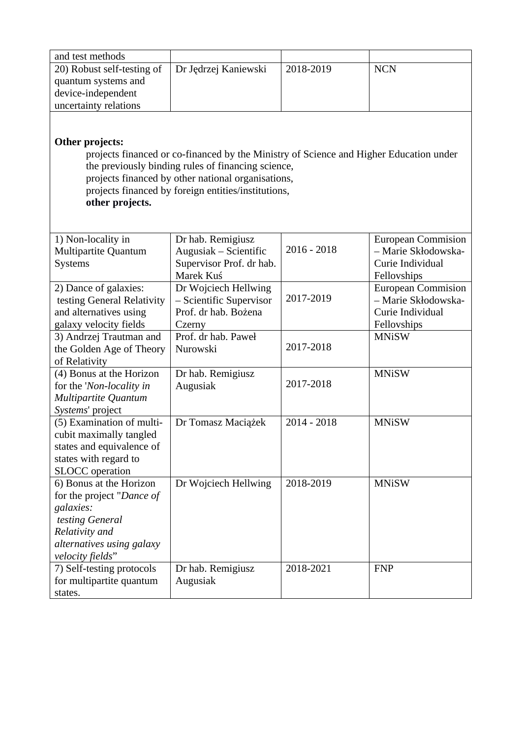| and test methods                                                                                                                                                                                                                                                                                       |                                            |               |                                                  |  |
|--------------------------------------------------------------------------------------------------------------------------------------------------------------------------------------------------------------------------------------------------------------------------------------------------------|--------------------------------------------|---------------|--------------------------------------------------|--|
| 20) Robust self-testing of                                                                                                                                                                                                                                                                             | Dr Jędrzej Kaniewski                       | 2018-2019     | <b>NCN</b>                                       |  |
| quantum systems and                                                                                                                                                                                                                                                                                    |                                            |               |                                                  |  |
| device-independent                                                                                                                                                                                                                                                                                     |                                            |               |                                                  |  |
| uncertainty relations                                                                                                                                                                                                                                                                                  |                                            |               |                                                  |  |
| <b>Other projects:</b><br>projects financed or co-financed by the Ministry of Science and Higher Education under<br>the previously binding rules of financing science,<br>projects financed by other national organisations,<br>projects financed by foreign entities/institutions,<br>other projects. |                                            |               |                                                  |  |
|                                                                                                                                                                                                                                                                                                        |                                            |               |                                                  |  |
| 1) Non-locality in<br>Multipartite Quantum                                                                                                                                                                                                                                                             | Dr hab. Remigiusz<br>Augusiak - Scientific | $2016 - 2018$ | <b>European Commision</b><br>- Marie Skłodowska- |  |
| <b>Systems</b>                                                                                                                                                                                                                                                                                         | Supervisor Prof. dr hab.                   |               | Curie Individual                                 |  |
|                                                                                                                                                                                                                                                                                                        | Marek Kuś                                  |               | Fellovships                                      |  |
| 2) Dance of galaxies:                                                                                                                                                                                                                                                                                  | Dr Wojciech Hellwing                       |               | <b>European Commision</b>                        |  |
| testing General Relativity                                                                                                                                                                                                                                                                             | - Scientific Supervisor                    | 2017-2019     | - Marie Skłodowska-                              |  |
| and alternatives using                                                                                                                                                                                                                                                                                 | Prof. dr hab. Bożena                       |               | Curie Individual                                 |  |
| galaxy velocity fields                                                                                                                                                                                                                                                                                 | Czerny                                     |               | Fellovships                                      |  |
| 3) Andrzej Trautman and                                                                                                                                                                                                                                                                                | Prof. dr hab. Paweł                        | 2017-2018     | <b>MNiSW</b>                                     |  |
| the Golden Age of Theory                                                                                                                                                                                                                                                                               | Nurowski                                   |               |                                                  |  |
| of Relativity<br>(4) Bonus at the Horizon                                                                                                                                                                                                                                                              | Dr hab. Remigiusz                          |               | <b>MNiSW</b>                                     |  |
| for the 'Non-locality in                                                                                                                                                                                                                                                                               | Augusiak                                   | 2017-2018     |                                                  |  |
| Multipartite Quantum                                                                                                                                                                                                                                                                                   |                                            |               |                                                  |  |
| Systems' project                                                                                                                                                                                                                                                                                       |                                            |               |                                                  |  |
| (5) Examination of multi-                                                                                                                                                                                                                                                                              | Dr Tomasz Maciążek                         | 2014 - 2018   | <b>MNiSW</b>                                     |  |
| cubit maximally tangled                                                                                                                                                                                                                                                                                |                                            |               |                                                  |  |
| states and equivalence of                                                                                                                                                                                                                                                                              |                                            |               |                                                  |  |
| states with regard to                                                                                                                                                                                                                                                                                  |                                            |               |                                                  |  |
| <b>SLOCC</b> operation                                                                                                                                                                                                                                                                                 |                                            |               |                                                  |  |
| 6) Bonus at the Horizon                                                                                                                                                                                                                                                                                | Dr Wojciech Hellwing                       | 2018-2019     | <b>MNiSW</b>                                     |  |
| for the project "Dance of                                                                                                                                                                                                                                                                              |                                            |               |                                                  |  |
| galaxies:                                                                                                                                                                                                                                                                                              |                                            |               |                                                  |  |
| testing General<br>Relativity and                                                                                                                                                                                                                                                                      |                                            |               |                                                  |  |
| alternatives using galaxy                                                                                                                                                                                                                                                                              |                                            |               |                                                  |  |
| velocity fields"                                                                                                                                                                                                                                                                                       |                                            |               |                                                  |  |
| 7) Self-testing protocols                                                                                                                                                                                                                                                                              | Dr hab. Remigiusz                          | 2018-2021     | <b>FNP</b>                                       |  |
| for multipartite quantum                                                                                                                                                                                                                                                                               | Augusiak                                   |               |                                                  |  |
| states.                                                                                                                                                                                                                                                                                                |                                            |               |                                                  |  |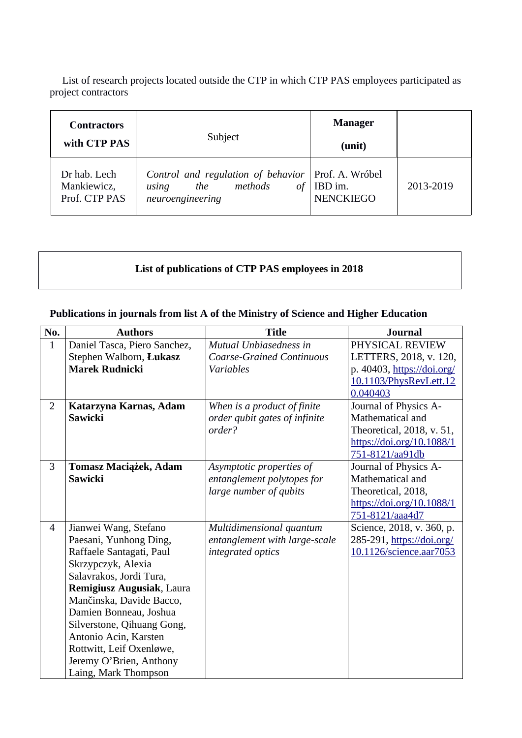List of research projects located outside the CTP in which CTP PAS employees participated as project contractors

| <b>Contractors</b><br>with CTP PAS           | Subject                                                                                            | <b>Manager</b><br>(unit)                       |           |
|----------------------------------------------|----------------------------------------------------------------------------------------------------|------------------------------------------------|-----------|
| Dr hab. Lech<br>Mankiewicz,<br>Prof. CTP PAS | Control and regulation of behavior<br>methods<br><sub>of</sub><br>the<br>using<br>neuroengineering | Prof. A. Wróbel<br>IBD im.<br><b>NENCKIEGO</b> | 2013-2019 |

## **List of publications of CTP PAS employees in 2018**

#### **Publications in journals from list A of the Ministry of Science and Higher Education**

| No.            | <b>Authors</b>               | <b>Title</b>                     | <b>Journal</b>             |
|----------------|------------------------------|----------------------------------|----------------------------|
| $\mathbf{1}$   | Daniel Tasca, Piero Sanchez, | Mutual Unbiasedness in           | PHYSICAL REVIEW            |
|                | Stephen Walborn, Łukasz      | <b>Coarse-Grained Continuous</b> | LETTERS, 2018, v. 120,     |
|                | <b>Marek Rudnicki</b>        | <b>Variables</b>                 | p. 40403, https://doi.org/ |
|                |                              |                                  | 10.1103/PhysRevLett.12     |
|                |                              |                                  | 0.040403                   |
| $\overline{2}$ | Katarzyna Karnas, Adam       | When is a product of finite      | Journal of Physics A-      |
|                | <b>Sawicki</b>               | order qubit gates of infinite    | Mathematical and           |
|                |                              | order?                           | Theoretical, 2018, v. 51,  |
|                |                              |                                  | https://doi.org/10.1088/1  |
|                |                              |                                  | 751-8121/aa91db            |
| 3              | Tomasz Maciążek, Adam        | Asymptotic properties of         | Journal of Physics A-      |
|                | <b>Sawicki</b>               | entanglement polytopes for       | Mathematical and           |
|                |                              | large number of qubits           | Theoretical, 2018,         |
|                |                              |                                  | https://doi.org/10.1088/1  |
|                |                              |                                  | 751-8121/aaa4d7            |
| $\overline{4}$ | Jianwei Wang, Stefano        | Multidimensional quantum         | Science, 2018, v. 360, p.  |
|                | Paesani, Yunhong Ding,       | entanglement with large-scale    | 285-291, https://doi.org/  |
|                | Raffaele Santagati, Paul     | integrated optics                | 10.1126/science.aar7053    |
|                | Skrzypczyk, Alexia           |                                  |                            |
|                | Salavrakos, Jordi Tura,      |                                  |                            |
|                | Remigiusz Augusiak, Laura    |                                  |                            |
|                | Mančinska, Davide Bacco,     |                                  |                            |
|                | Damien Bonneau, Joshua       |                                  |                            |
|                | Silverstone, Qihuang Gong,   |                                  |                            |
|                | Antonio Acin, Karsten        |                                  |                            |
|                | Rottwitt, Leif Oxenløwe,     |                                  |                            |
|                | Jeremy O'Brien, Anthony      |                                  |                            |
|                | Laing, Mark Thompson         |                                  |                            |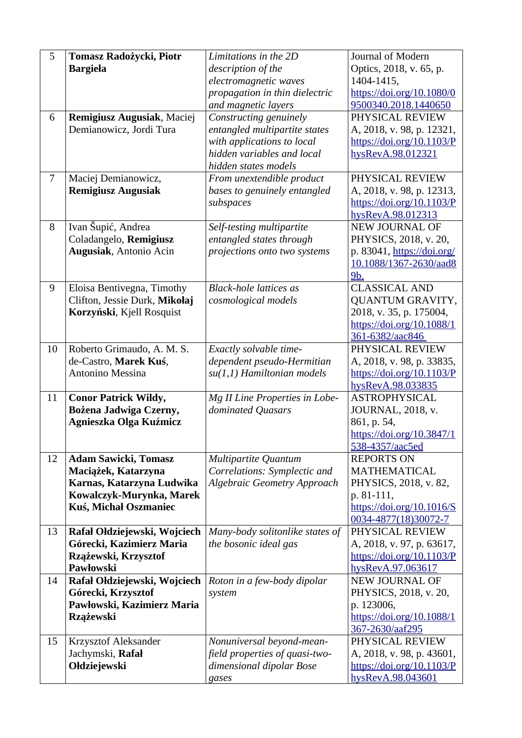| 5              | Tomasz Radożycki, Piotr                           | Limitations in the 2D              | Journal of Modern                                 |
|----------------|---------------------------------------------------|------------------------------------|---------------------------------------------------|
|                | <b>Bargieła</b>                                   | description of the                 | Optics, 2018, v. 65, p.                           |
|                |                                                   | electromagnetic waves              | 1404-1415,                                        |
|                |                                                   | propagation in thin dielectric     | https://doi.org/10.1080/0                         |
|                |                                                   | and magnetic layers                | 9500340.2018.1440650                              |
| 6              | Remigiusz Augusiak, Maciej                        | Constructing genuinely             | PHYSICAL REVIEW                                   |
|                | Demianowicz, Jordi Tura                           | entangled multipartite states      | A, 2018, v. 98, p. 12321,                         |
|                |                                                   | with applications to local         | https://doi.org/10.1103/P                         |
|                |                                                   | hidden variables and local         | hysRevA.98.012321                                 |
|                |                                                   | hidden states models               |                                                   |
| $\overline{7}$ | Maciej Demianowicz,                               | From unextendible product          | PHYSICAL REVIEW                                   |
|                | <b>Remigiusz Augusiak</b>                         | bases to genuinely entangled       | A, 2018, v. 98, p. 12313,                         |
|                |                                                   | subspaces                          | https://doi.org/10.1103/P                         |
|                |                                                   |                                    | hysRevA.98.012313                                 |
| 8              | Ivan Šupić, Andrea                                | Self-testing multipartite          | <b>NEW JOURNAL OF</b>                             |
|                | Coladangelo, Remigiusz                            | entangled states through           | PHYSICS, 2018, v. 20,                             |
|                | Augusiak, Antonio Acin                            | projections onto two systems       | p. 83041, https://doi.org/                        |
|                |                                                   |                                    | 10.1088/1367-2630/aad8<br>9b.                     |
| 9              | Eloisa Bentivegna, Timothy                        | <b>Black-hole lattices as</b>      | <b>CLASSICAL AND</b>                              |
|                | Clifton, Jessie Durk, Mikołaj                     | cosmological models                | <b>QUANTUM GRAVITY,</b>                           |
|                | Korzyński, Kjell Rosquist                         |                                    | 2018, v. 35, p. 175004,                           |
|                |                                                   |                                    | https://doi.org/10.1088/1                         |
|                |                                                   |                                    | 361-6382/aac846                                   |
| 10             | Roberto Grimaudo, A. M. S.                        | Exactly solvable time-             | PHYSICAL REVIEW                                   |
|                | de-Castro, Marek Kuś,                             | dependent pseudo-Hermitian         | A, 2018, v. 98, p. 33835,                         |
|                | Antonino Messina                                  | su(1,1) Hamiltonian models         | https://doi.org/10.1103/P                         |
|                |                                                   |                                    | hysRevA.98.033835                                 |
| 11             | <b>Conor Patrick Wildy,</b>                       | Mg II Line Properties in Lobe-     | <b>ASTROPHYSICAL</b>                              |
|                | Bożena Jadwiga Czerny,                            | dominated Quasars                  | JOURNAL, 2018, v.                                 |
|                | Agnieszka Olga Kuźmicz                            |                                    | 861, p. 54,                                       |
|                |                                                   |                                    | https://doi.org/10.3847/1                         |
|                |                                                   |                                    | 538-4357/aac5ed                                   |
| 12             | <b>Adam Sawicki, Tomasz</b>                       | Multipartite Quantum               | <b>REPORTS ON</b>                                 |
|                | Maciążek, Katarzyna                               | Correlations: Symplectic and       | <b>MATHEMATICAL</b>                               |
|                | Karnas, Katarzyna Ludwika                         | <b>Algebraic Geometry Approach</b> | PHYSICS, 2018, v. 82,                             |
|                | Kowalczyk-Murynka, Marek<br>Kuś, Michał Oszmaniec |                                    | p. 81-111,                                        |
|                |                                                   |                                    | https://doi.org/10.1016/S<br>0034-4877(18)30072-7 |
| 13             | Rafał Ołdziejewski, Wojciech                      | Many-body solitonlike states of    | PHYSICAL REVIEW                                   |
|                | Górecki, Kazimierz Maria                          | the bosonic ideal gas              | A, 2018, v. 97, p. 63617,                         |
|                | Rzążewski, Krzysztof                              |                                    | https://doi.org/10.1103/P                         |
|                | Pawłowski                                         |                                    | hysRevA.97.063617                                 |
| 14             | Rafał Ołdziejewski, Wojciech                      | Roton in a few-body dipolar        | <b>NEW JOURNAL OF</b>                             |
|                | Górecki, Krzysztof                                | system                             | PHYSICS, 2018, v. 20,                             |
|                | Pawłowski, Kazimierz Maria                        |                                    | p. 123006,                                        |
|                | <b>Rzążewski</b>                                  |                                    | https://doi.org/10.1088/1                         |
|                |                                                   |                                    | 367-2630/aaf295                                   |
| 15             | <b>Krzysztof Aleksander</b>                       | Nonuniversal beyond-mean-          | PHYSICAL REVIEW                                   |
|                | Jachymski, Rafał                                  | field properties of quasi-two-     | A, 2018, v. 98, p. 43601,                         |
|                |                                                   |                                    |                                                   |
|                | Ołdziejewski                                      | dimensional dipolar Bose<br>gases  | https://doi.org/10.1103/P<br>hysRevA.98.043601    |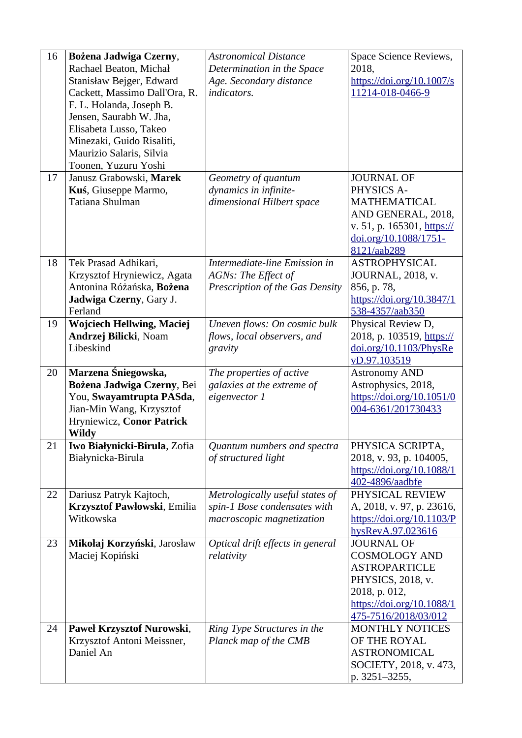| 16 | Bożena Jadwiga Czerny,<br>Rachael Beaton, Michał<br>Stanisław Bejger, Edward<br>Cackett, Massimo Dall'Ora, R.<br>F. L. Holanda, Joseph B.<br>Jensen, Saurabh W. Jha,<br>Elisabeta Lusso, Takeo<br>Minezaki, Guido Risaliti,<br>Maurizio Salaris, Silvia<br>Toonen, Yuzuru Yoshi | <b>Astronomical Distance</b><br>Determination in the Space<br>Age. Secondary distance<br>indicators. | Space Science Reviews,<br>2018,<br>$\frac{https://doi.org/10.1007/s}{$<br>11214-018-0466-9                                                                   |
|----|---------------------------------------------------------------------------------------------------------------------------------------------------------------------------------------------------------------------------------------------------------------------------------|------------------------------------------------------------------------------------------------------|--------------------------------------------------------------------------------------------------------------------------------------------------------------|
| 17 | Janusz Grabowski, Marek<br>Kuś, Giuseppe Marmo,<br>Tatiana Shulman                                                                                                                                                                                                              | Geometry of quantum<br>dynamics in infinite-<br>dimensional Hilbert space                            | <b>JOURNAL OF</b><br>PHYSICS A-<br><b>MATHEMATICAL</b><br>AND GENERAL, 2018,<br>v. 51, p. 165301, https://<br>doi.org/10.1088/1751-<br>8121/aab289           |
| 18 | Tek Prasad Adhikari,<br>Krzysztof Hryniewicz, Agata<br>Antonina Różańska, Bożena<br>Jadwiga Czerny, Gary J.<br>Ferland                                                                                                                                                          | Intermediate-line Emission in<br>AGNs: The Effect of<br>Prescription of the Gas Density              | <b>ASTROPHYSICAL</b><br>JOURNAL, 2018, v.<br>856, p. 78,<br>https://doi.org/10.3847/1<br>538-4357/aab350                                                     |
| 19 | <b>Wojciech Hellwing, Maciej</b><br>Andrzej Bilicki, Noam<br>Libeskind                                                                                                                                                                                                          | Uneven flows: On cosmic bulk<br>flows, local observers, and<br>gravity                               | Physical Review D,<br>2018, p. 103519, https://<br>doi.org/10.1103/PhysRe<br>vD.97.103519                                                                    |
| 20 | Marzena Śniegowska,<br>Bożena Jadwiga Czerny, Bei<br>You, Swayamtrupta PASda,<br>Jian-Min Wang, Krzysztof<br>Hryniewicz, Conor Patrick<br>Wildy                                                                                                                                 | The properties of active<br>galaxies at the extreme of<br>eigenvector 1                              | <b>Astronomy AND</b><br>Astrophysics, 2018,<br>https://doi.org/10.1051/0<br>004-6361/201730433                                                               |
| 21 | Iwo Białynicki-Birula, Zofia<br>Białynicka-Birula                                                                                                                                                                                                                               | Quantum numbers and spectra<br>of structured light                                                   | PHYSICA SCRIPTA,<br>2018, v. 93, p. 104005,<br>https://doi.org/10.1088/1<br>402-4896/aadbfe                                                                  |
| 22 | Dariusz Patryk Kajtoch,<br>Krzysztof Pawłowski, Emilia<br>Witkowska                                                                                                                                                                                                             | Metrologically useful states of<br>spin-1 Bose condensates with<br>macroscopic magnetization         | PHYSICAL REVIEW<br>A, 2018, v. 97, p. 23616,<br>$\frac{https://doi.org/10.1103/P}{P}$<br>hysRevA.97.023616                                                   |
| 23 | Mikołaj Korzyński, Jarosław<br>Maciej Kopiński                                                                                                                                                                                                                                  | Optical drift effects in general<br>relativity                                                       | <b>JOURNAL OF</b><br><b>COSMOLOGY AND</b><br><b>ASTROPARTICLE</b><br>PHYSICS, 2018, v.<br>2018, p. 012,<br>https://doi.org/10.1088/1<br>475-7516/2018/03/012 |
| 24 | Paweł Krzysztof Nurowski,<br>Krzysztof Antoni Meissner,<br>Daniel An                                                                                                                                                                                                            | Ring Type Structures in the<br>Planck map of the CMB                                                 | <b>MONTHLY NOTICES</b><br>OF THE ROYAL<br><b>ASTRONOMICAL</b><br>SOCIETY, 2018, v. 473,<br>p. 3251-3255,                                                     |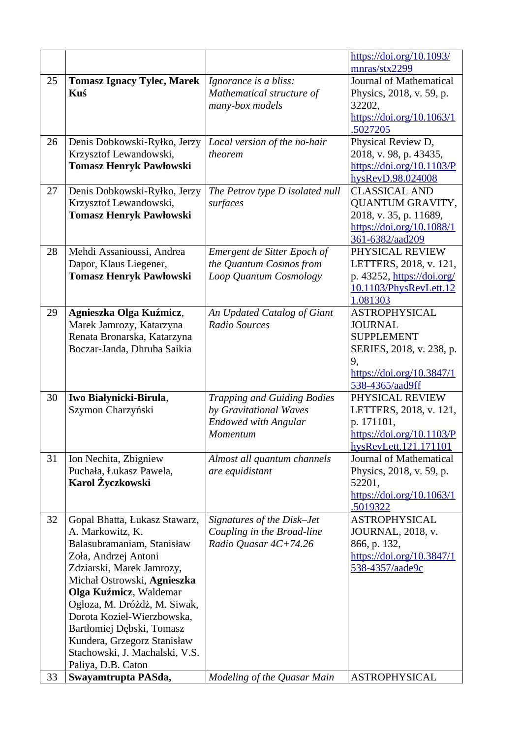|    |                                                                                                                                                                                                                                                                                                                                                                                 |                                                                                                         | https://doi.org/10.1093/<br>mnras/stx2299                                                                                                     |
|----|---------------------------------------------------------------------------------------------------------------------------------------------------------------------------------------------------------------------------------------------------------------------------------------------------------------------------------------------------------------------------------|---------------------------------------------------------------------------------------------------------|-----------------------------------------------------------------------------------------------------------------------------------------------|
| 25 | <b>Tomasz Ignacy Tylec, Marek</b><br>Kuś                                                                                                                                                                                                                                                                                                                                        | Ignorance is a bliss:<br>Mathematical structure of<br>many-box models                                   | Journal of Mathematical<br>Physics, 2018, v. 59, p.<br>32202,<br>https://doi.org/10.1063/1<br>.5027205                                        |
| 26 | Denis Dobkowski-Ryłko, Jerzy<br>Krzysztof Lewandowski,<br><b>Tomasz Henryk Pawłowski</b>                                                                                                                                                                                                                                                                                        | Local version of the no-hair<br>theorem                                                                 | Physical Review D,<br>2018, v. 98, p. 43435,<br>$\frac{https://doi.org/10.1103/P}{P}$<br>hysRevD.98.024008                                    |
| 27 | Denis Dobkowski-Ryłko, Jerzy<br>Krzysztof Lewandowski,<br><b>Tomasz Henryk Pawłowski</b>                                                                                                                                                                                                                                                                                        | The Petrov type D isolated null<br>surfaces                                                             | <b>CLASSICAL AND</b><br><b>QUANTUM GRAVITY,</b><br>2018, v. 35, p. 11689,<br>https://doi.org/10.1088/1<br>361-6382/aad209                     |
| 28 | Mehdi Assanioussi, Andrea<br>Dapor, Klaus Liegener,<br><b>Tomasz Henryk Pawłowski</b>                                                                                                                                                                                                                                                                                           | Emergent de Sitter Epoch of<br>the Quantum Cosmos from<br>Loop Quantum Cosmology                        | PHYSICAL REVIEW<br>LETTERS, 2018, v. 121,<br>p. 43252, https://doi.org/<br>10.1103/PhysRevLett.12<br>1.081303                                 |
| 29 | Agnieszka Olga Kuźmicz,<br>Marek Jamrozy, Katarzyna<br>Renata Bronarska, Katarzyna<br>Boczar-Janda, Dhruba Saikia                                                                                                                                                                                                                                                               | An Updated Catalog of Giant<br>Radio Sources                                                            | <b>ASTROPHYSICAL</b><br><b>JOURNAL</b><br><b>SUPPLEMENT</b><br>SERIES, 2018, v. 238, p.<br>9,<br>https://doi.org/10.3847/1<br>538-4365/aad9ff |
| 30 | Iwo Białynicki-Birula,<br>Szymon Charzyński                                                                                                                                                                                                                                                                                                                                     | <b>Trapping and Guiding Bodies</b><br>by Gravitational Waves<br><b>Endowed with Angular</b><br>Momentum | PHYSICAL REVIEW<br>LETTERS, 2018, v. 121,<br>p. 171101,<br>https://doi.org/10.1103/P<br>hysRevLett.121.171101                                 |
| 31 | Ion Nechita, Zbigniew<br>Puchała, Łukasz Pawela,<br>Karol Życzkowski                                                                                                                                                                                                                                                                                                            | Almost all quantum channels<br>are equidistant                                                          | Journal of Mathematical<br>Physics, 2018, v. 59, p.<br>52201,<br>https://doi.org/10.1063/1<br><u>.5019322</u>                                 |
| 32 | Gopal Bhatta, Łukasz Stawarz,<br>A. Markowitz, K.<br>Balasubramaniam, Stanisław<br>Zoła, Andrzej Antoni<br>Zdziarski, Marek Jamrozy,<br>Michał Ostrowski, Agnieszka<br>Olga Kuźmicz, Waldemar<br>Ogłoza, M. Dróżdż, M. Siwak,<br>Dorota Kozieł-Wierzbowska,<br>Bartłomiej Dębski, Tomasz<br>Kundera, Grzegorz Stanisław<br>Stachowski, J. Machalski, V.S.<br>Paliya, D.B. Caton | Signatures of the Disk-Jet<br>Coupling in the Broad-line<br>Radio Quasar 4C+74.26                       | <b>ASTROPHYSICAL</b><br>JOURNAL, 2018, v.<br>866, p. 132,<br>https://doi.org/10.3847/1<br>538-4357/aade9c                                     |
| 33 | Swayamtrupta PASda,                                                                                                                                                                                                                                                                                                                                                             | Modeling of the Quasar Main                                                                             | <b>ASTROPHYSICAL</b>                                                                                                                          |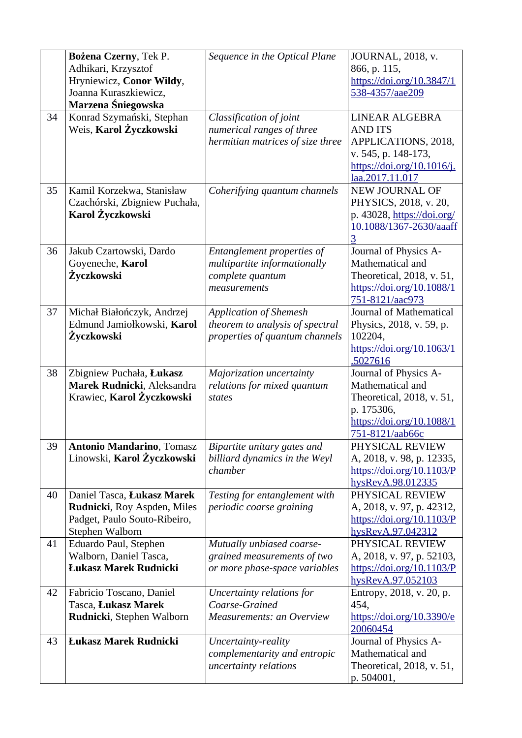|    | Bożena Czerny, Tek P.<br>Adhikari, Krzysztof<br>Hryniewicz, Conor Wildy,<br>Joanna Kuraszkiewicz,<br>Marzena Śniegowska | Sequence in the Optical Plane                                                                      | JOURNAL, 2018, v.<br>866, p. 115,<br>https://doi.org/10.3847/1<br>538-4357/aae209                                                    |
|----|-------------------------------------------------------------------------------------------------------------------------|----------------------------------------------------------------------------------------------------|--------------------------------------------------------------------------------------------------------------------------------------|
| 34 | Konrad Szymański, Stephan<br>Weis, Karol Życzkowski                                                                     | Classification of joint<br>numerical ranges of three<br>hermitian matrices of size three           | LINEAR ALGEBRA<br><b>AND ITS</b><br>APPLICATIONS, 2018,<br>v. 545, p. 148-173,<br>https://doi.org/10.1016/j.<br>laa.2017.11.017      |
| 35 | Kamil Korzekwa, Stanisław<br>Czachórski, Zbigniew Puchała,<br>Karol Życzkowski                                          | Coherifying quantum channels                                                                       | <b>NEW JOURNAL OF</b><br>PHYSICS, 2018, v. 20,<br>p. 43028, https://doi.org/<br>10.1088/1367-2630/aaaff<br>$\overline{3}$            |
| 36 | Jakub Czartowski, Dardo<br>Goyeneche, Karol<br>Życzkowski                                                               | Entanglement properties of<br>multipartite informationally<br>complete quantum<br>measurements     | Journal of Physics A-<br>Mathematical and<br>Theoretical, 2018, v. 51,<br>https://doi.org/10.1088/1<br>751-8121/aac973               |
| 37 | Michał Białończyk, Andrzej<br>Edmund Jamiołkowski, Karol<br>Życzkowski                                                  | <b>Application of Shemesh</b><br>theorem to analysis of spectral<br>properties of quantum channels | Journal of Mathematical<br>Physics, 2018, v. 59, p.<br>102204,<br>https://doi.org/10.1063/1<br>.5027616                              |
| 38 | Zbigniew Puchała, Łukasz<br>Marek Rudnicki, Aleksandra<br>Krawiec, Karol Życzkowski                                     | Majorization uncertainty<br>relations for mixed quantum<br>states                                  | Journal of Physics A-<br>Mathematical and<br>Theoretical, 2018, v. 51,<br>p. 175306,<br>https://doi.org/10.1088/1<br>751-8121/aab66c |
| 39 | <b>Antonio Mandarino</b> , Tomasz<br>Linowski, Karol Życzkowski                                                         | Bipartite unitary gates and<br>billiard dynamics in the Weyl<br>chamber                            | PHYSICAL REVIEW<br>A, 2018, v. 98, p. 12335,<br>$\frac{https://doi.org/10.1103/P}{P}$<br>hysRevA.98.012335                           |
| 40 | Daniel Tasca, Łukasz Marek<br>Rudnicki, Roy Aspden, Miles<br>Padget, Paulo Souto-Ribeiro,<br>Stephen Walborn            | Testing for entanglement with<br>periodic coarse graining                                          | PHYSICAL REVIEW<br>A, 2018, v. 97, p. 42312,<br>$\frac{https://doi.org/10.1103/P}{P}$<br>hysRevA.97.042312                           |
| 41 | Eduardo Paul, Stephen<br>Walborn, Daniel Tasca,<br><b>Łukasz Marek Rudnicki</b>                                         | Mutually unbiased coarse-<br>grained measurements of two<br>or more phase-space variables          | PHYSICAL REVIEW<br>A, 2018, v. 97, p. 52103,<br>$\frac{https://doi.org/10.1103/P}{P}$<br>hysRevA.97.052103                           |
| 42 | Fabricio Toscano, Daniel<br>Tasca, Łukasz Marek<br>Rudnicki, Stephen Walborn                                            | Uncertainty relations for<br>Coarse-Grained<br><b>Measurements: an Overview</b>                    | Entropy, 2018, v. 20, p.<br>454,<br>https://doi.org/10.3390/e<br>20060454                                                            |
| 43 | <b>Łukasz Marek Rudnicki</b>                                                                                            | Uncertainty-reality<br>complementarity and entropic<br>uncertainty relations                       | Journal of Physics A-<br>Mathematical and<br>Theoretical, 2018, v. 51,<br>p. 504001,                                                 |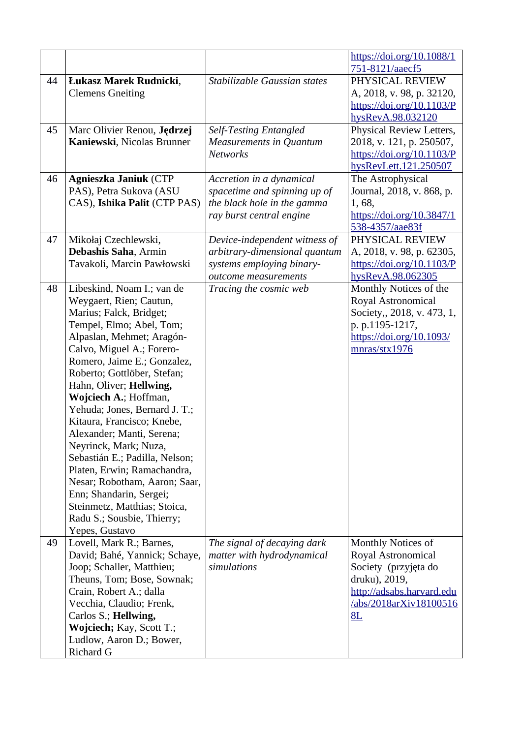|    |                                                         |                                | https://doi.org/10.1088/1                  |
|----|---------------------------------------------------------|--------------------------------|--------------------------------------------|
| 44 | Łukasz Marek Rudnicki,                                  | Stabilizable Gaussian states   | 751-8121/aaecf5<br>PHYSICAL REVIEW         |
|    | <b>Clemens Gneiting</b>                                 |                                | A, 2018, v. 98, p. 32120,                  |
|    |                                                         |                                | https://doi.org/10.1103/P                  |
|    |                                                         |                                | hysRevA.98.032120                          |
| 45 | Marc Olivier Renou, Jędrzej                             | <b>Self-Testing Entangled</b>  | Physical Review Letters,                   |
|    | Kaniewski, Nicolas Brunner                              | <b>Measurements in Quantum</b> | 2018, v. 121, p. 250507,                   |
|    |                                                         | <b>Networks</b>                | https://doi.org/10.1103/P                  |
| 46 | <b>Agnieszka Janiuk (CTP</b>                            | Accretion in a dynamical       | hysRevLett.121.250507<br>The Astrophysical |
|    | PAS), Petra Sukova (ASU                                 | spacetime and spinning up of   | Journal, 2018, v. 868, p.                  |
|    | CAS), Ishika Palit (CTP PAS)                            | the black hole in the gamma    | 1, 68,                                     |
|    |                                                         | ray burst central engine       | https://doi.org/10.3847/1                  |
|    |                                                         |                                | 538-4357/aae83f                            |
| 47 | Mikołaj Czechlewski,                                    | Device-independent witness of  | PHYSICAL REVIEW                            |
|    | Debashis Saha, Armin                                    | arbitrary-dimensional quantum  | A, 2018, v. 98, p. 62305,                  |
|    | Tavakoli, Marcin Pawłowski                              | systems employing binary-      | https://doi.org/10.1103/P                  |
|    |                                                         | outcome measurements           | hysRevA.98.062305                          |
| 48 | Libeskind, Noam I.; van de                              | Tracing the cosmic web         | Monthly Notices of the                     |
|    | Weygaert, Rien; Cautun,                                 |                                | Royal Astronomical                         |
|    | Marius; Falck, Bridget;                                 |                                | Society,, 2018, v. 473, 1,                 |
|    | Tempel, Elmo; Abel, Tom;                                |                                | p. p.1195-1217,                            |
|    | Alpaslan, Mehmet; Aragón-<br>Calvo, Miguel A.; Forero-  |                                | https://doi.org/10.1093/<br>mnras/stx1976  |
|    | Romero, Jaime E.; Gonzalez,                             |                                |                                            |
|    | Roberto; Gottlöber, Stefan;                             |                                |                                            |
|    | Hahn, Oliver; Hellwing,                                 |                                |                                            |
|    | Wojciech A.; Hoffman,                                   |                                |                                            |
|    | Yehuda; Jones, Bernard J. T.;                           |                                |                                            |
|    | Kitaura, Francisco; Knebe,                              |                                |                                            |
|    | Alexander; Manti, Serena;                               |                                |                                            |
|    | Neyrinck, Mark; Nuza,                                   |                                |                                            |
|    | Sebastián E.; Padilla, Nelson;                          |                                |                                            |
|    | Platen, Erwin; Ramachandra,                             |                                |                                            |
|    | Nesar; Robotham, Aaron; Saar,                           |                                |                                            |
|    | Enn; Shandarin, Sergei;<br>Steinmetz, Matthias; Stoica, |                                |                                            |
|    | Radu S.; Sousbie, Thierry;                              |                                |                                            |
|    | Yepes, Gustavo                                          |                                |                                            |
| 49 | Lovell, Mark R.; Barnes,                                | The signal of decaying dark    | Monthly Notices of                         |
|    | David; Bahé, Yannick; Schaye,                           | matter with hydrodynamical     | Royal Astronomical                         |
|    | Joop; Schaller, Matthieu;                               | simulations                    | Society (przyjęta do                       |
|    | Theuns, Tom; Bose, Sownak;                              |                                | druku), 2019,                              |
|    | Crain, Robert A.; dalla                                 |                                | http://adsabs.harvard.edu                  |
|    | Vecchia, Claudio; Frenk,                                |                                | /abs/2018arXiv18100516                     |
|    | Carlos S.; Hellwing,                                    |                                | 8L                                         |
|    | Wojciech; Kay, Scott T.;<br>Ludlow, Aaron D.; Bower,    |                                |                                            |
|    | <b>Richard G</b>                                        |                                |                                            |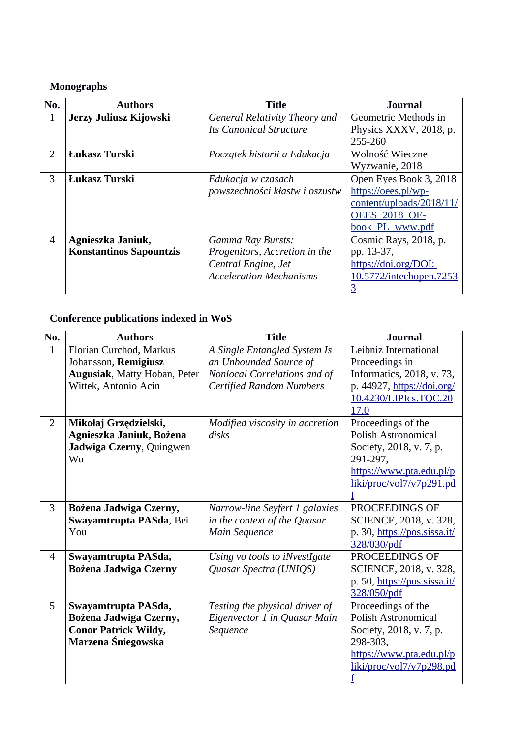## **Monographs**

| No.           | <b>Authors</b>                 | <b>Title</b>                   | <b>Journal</b>           |
|---------------|--------------------------------|--------------------------------|--------------------------|
| 1             | Jerzy Juliusz Kijowski         | General Relativity Theory and  | Geometric Methods in     |
|               |                                | <b>Its Canonical Structure</b> | Physics XXXV, 2018, p.   |
|               |                                |                                | 255-260                  |
| $\mathcal{P}$ | <b>Łukasz Turski</b>           | Początek historii a Edukacja   | Wolność Wieczne          |
|               |                                |                                | Wyzwanie, 2018           |
| 3             | <b>Łukasz Turski</b>           | Edukacja w czasach             | Open Eyes Book 3, 2018   |
|               |                                | powszechności kłastw i oszustw | https://oees.pl/wp-      |
|               |                                |                                | content/uploads/2018/11/ |
|               |                                |                                | <b>OEES 2018 OE-</b>     |
|               |                                |                                | book PL www.pdf          |
| 4             | Agnieszka Janiuk,              | <b>Gamma Ray Bursts:</b>       | Cosmic Rays, 2018, p.    |
|               | <b>Konstantinos Sapountzis</b> | Progenitors, Accretion in the  | pp. 13-37,               |
|               |                                | Central Engine, Jet            | https://doi.org/DOI:     |
|               |                                | <b>Acceleration Mechanisms</b> | 10.5772/intechopen.7253  |
|               |                                |                                |                          |

# **Conference publications indexed in WoS**

| No.            | <b>Authors</b>                      | <b>Title</b>                    | <b>Journal</b>               |
|----------------|-------------------------------------|---------------------------------|------------------------------|
| $\mathbf{1}$   | Florian Curchod, Markus             | A Single Entangled System Is    | Leibniz International        |
|                | Johansson, Remigiusz                | an Unbounded Source of          | Proceedings in               |
|                | <b>Augusiak, Matty Hoban, Peter</b> | Nonlocal Correlations and of    | Informatics, 2018, v. 73,    |
|                | Wittek, Antonio Acin                | <b>Certified Random Numbers</b> | p. 44927, https://doi.org/   |
|                |                                     |                                 | 10.4230/LIPIcs.TQC.20        |
|                |                                     |                                 | 17.0                         |
| $\overline{2}$ | Mikołaj Grzędzielski,               | Modified viscosity in accretion | Proceedings of the           |
|                | Agnieszka Janiuk, Bożena            | disks                           | <b>Polish Astronomical</b>   |
|                | Jadwiga Czerny, Quingwen            |                                 | Society, 2018, v. 7, p.      |
|                | Wu                                  |                                 | 291-297,                     |
|                |                                     |                                 | https://www.pta.edu.pl/p     |
|                |                                     |                                 | liki/proc/vol7/v7p291.pd     |
|                |                                     |                                 |                              |
| 3              | Bożena Jadwiga Czerny,              | Narrow-line Seyfert 1 galaxies  | PROCEEDINGS OF               |
|                | Swayamtrupta PASda, Bei             | in the context of the Quasar    | SCIENCE, 2018, v. 328,       |
|                | You                                 | Main Sequence                   | p. 30, https://pos.sissa.it/ |
|                |                                     |                                 | 328/030/pdf                  |
| 4              | Swayamtrupta PASda,                 | Using vo tools to iNvestIgate   | PROCEEDINGS OF               |
|                | <b>Bożena Jadwiga Czerny</b>        | Quasar Spectra (UNIQS)          | SCIENCE, 2018, v. 328,       |
|                |                                     |                                 | p. 50, https://pos.sissa.it/ |
|                |                                     |                                 | 328/050/pdf                  |
| 5              | Swayamtrupta PASda,                 | Testing the physical driver of  | Proceedings of the           |
|                | Bożena Jadwiga Czerny,              | Eigenvector 1 in Quasar Main    | <b>Polish Astronomical</b>   |
|                | <b>Conor Patrick Wildy,</b>         | Sequence                        | Society, 2018, v. 7, p.      |
|                | Marzena Śniegowska                  |                                 | 298-303.                     |
|                |                                     |                                 | https://www.pta.edu.pl/p     |
|                |                                     |                                 | liki/proc/vol7/v7p298.pd     |
|                |                                     |                                 | $f_{\text{}}$                |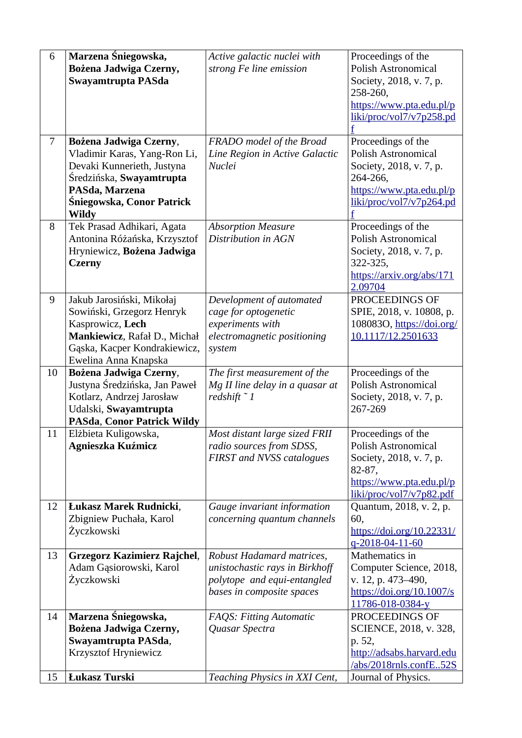| 6<br>$\overline{7}$ | Marzena Śniegowska,<br>Bożena Jadwiga Czerny,<br>Swayamtrupta PASda<br>Bożena Jadwiga Czerny,                                                                      | Active galactic nuclei with<br>strong Fe line emission<br>FRADO model of the Broad                                      | Proceedings of the<br>Polish Astronomical<br>Society, 2018, v. 7, p.<br>258-260,<br>https://www.pta.edu.pl/p<br>liki/proc/vol7/v7p258.pd<br>Proceedings of the |
|---------------------|--------------------------------------------------------------------------------------------------------------------------------------------------------------------|-------------------------------------------------------------------------------------------------------------------------|----------------------------------------------------------------------------------------------------------------------------------------------------------------|
|                     | Vladimir Karas, Yang-Ron Li,<br>Devaki Kunnerieth, Justyna<br>Średzińska, Swayamtrupta<br>PASda, Marzena<br>Śniegowska, Conor Patrick<br><b>Wildy</b>              | Line Region in Active Galactic<br><b>Nuclei</b>                                                                         | Polish Astronomical<br>Society, 2018, v. 7, p.<br>264-266,<br>https://www.pta.edu.pl/p<br>liki/proc/vol7/v7p264.pd                                             |
| 8                   | Tek Prasad Adhikari, Agata<br>Antonina Różańska, Krzysztof<br>Hryniewicz, Bożena Jadwiga<br><b>Czerny</b>                                                          | <b>Absorption Measure</b><br>Distribution in AGN                                                                        | Proceedings of the<br><b>Polish Astronomical</b><br>Society, 2018, v. 7, p.<br>322-325,<br>https://arxiv.org/abs/171<br>2.09704                                |
| 9                   | Jakub Jarosiński, Mikołaj<br>Sowiński, Grzegorz Henryk<br>Kasprowicz, Lech<br>Mankiewicz, Rafał D., Michał<br>Gąska, Kacper Kondrakiewicz,<br>Ewelina Anna Knapska | Development of automated<br>cage for optogenetic<br>experiments with<br>electromagnetic positioning<br>system           | PROCEEDINGS OF<br>SPIE, 2018, v. 10808, p.<br>108083O, https://doi.org/<br>10.1117/12.2501633                                                                  |
| 10                  | Bożena Jadwiga Czerny,<br>Justyna Średzińska, Jan Paweł<br>Kotlarz, Andrzej Jarosław<br>Udalski, Swayamtrupta                                                      | The first measurement of the<br>Mg II line delay in a quasar at<br>redshift $\degree$ 1                                 | Proceedings of the<br>Polish Astronomical<br>Society, 2018, v. 7, p.<br>267-269                                                                                |
|                     | <b>PASda, Conor Patrick Wildy</b>                                                                                                                                  |                                                                                                                         |                                                                                                                                                                |
| 11                  | Elżbieta Kuligowska,<br>Agnieszka Kuźmicz                                                                                                                          | Most distant large sized FRII<br>radio sources from SDSS,<br><b>FIRST and NVSS catalogues</b>                           | Proceedings of the<br><b>Polish Astronomical</b><br>Society, 2018, v. 7, p.<br>82-87,<br>https://www.pta.edu.pl/p<br>liki/proc/vol7/v7p82.pdf                  |
| 12                  | Łukasz Marek Rudnicki,<br>Zbigniew Puchała, Karol<br>Życzkowski                                                                                                    | Gauge invariant information<br>concerning quantum channels                                                              | Quantum, 2018, v. 2, p.<br>60,<br>https://doi.org/10.22331/<br>q-2018-04-11-60                                                                                 |
| 13                  | <b>Grzegorz Kazimierz Rajchel,</b><br>Adam Gąsiorowski, Karol<br>Życzkowski                                                                                        | Robust Hadamard matrices,<br>unistochastic rays in Birkhoff<br>polytope and equi-entangled<br>bases in composite spaces | Mathematics in<br>Computer Science, 2018,<br>v. 12, p. 473-490,<br>https://doi.org/10.1007/s<br>11786-018-0384-y                                               |
| 14<br>15            | Marzena Śniegowska,<br>Bożena Jadwiga Czerny,<br>Swayamtrupta PASda,<br>Krzysztof Hryniewicz<br>Łukasz Turski                                                      | <b>FAQS: Fitting Automatic</b><br>Quasar Spectra<br>Teaching Physics in XXI Cent,                                       | PROCEEDINGS OF<br>SCIENCE, 2018, v. 328,<br>p. 52,<br>http://adsabs.harvard.edu<br>/abs/2018rnls.confE52S<br>Journal of Physics.                               |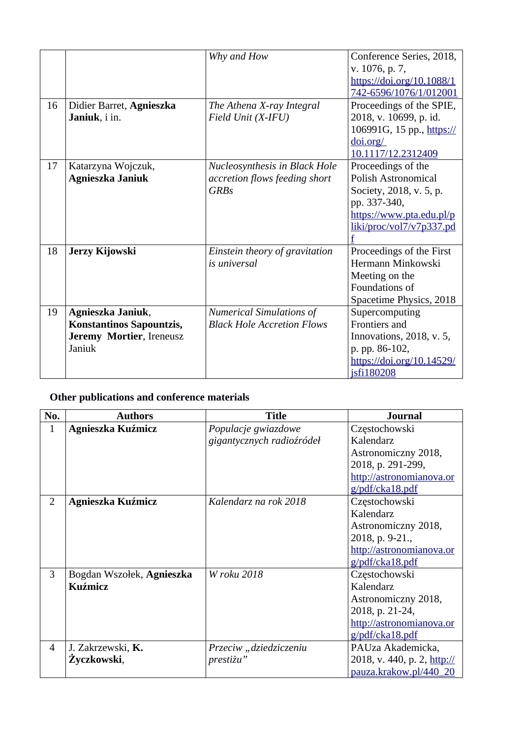|    |                                 | Why and How                       | Conference Series, 2018,   |
|----|---------------------------------|-----------------------------------|----------------------------|
|    |                                 |                                   | v. 1076, p. 7,             |
|    |                                 |                                   | https://doi.org/10.1088/1  |
|    |                                 |                                   | 742-6596/1076/1/012001     |
| 16 | Didier Barret, Agnieszka        | The Athena X-ray Integral         | Proceedings of the SPIE,   |
|    | Janiuk, i in.                   | Field Unit (X-IFU)                | 2018, v. 10699, p. id.     |
|    |                                 |                                   | 106991G, 15 pp., https://  |
|    |                                 |                                   | doi.org/                   |
|    |                                 |                                   | 10.1117/12.2312409         |
| 17 | Katarzyna Wojczuk,              | Nucleosynthesis in Black Hole     | Proceedings of the         |
|    | Agnieszka Janiuk                | accretion flows feeding short     | <b>Polish Astronomical</b> |
|    |                                 | <b>GRBs</b>                       | Society, 2018, v. 5, p.    |
|    |                                 |                                   | pp. 337-340,               |
|    |                                 |                                   | https://www.pta.edu.pl/p   |
|    |                                 |                                   | liki/proc/vol7/v7p337.pd   |
|    |                                 |                                   |                            |
| 18 | Jerzy Kijowski                  | Einstein theory of gravitation    | Proceedings of the First   |
|    |                                 | is universal                      | Hermann Minkowski          |
|    |                                 |                                   | Meeting on the             |
|    |                                 |                                   | Foundations of             |
|    |                                 |                                   | Spacetime Physics, 2018    |
| 19 | Agnieszka Janiuk,               | <b>Numerical Simulations of</b>   | Supercomputing             |
|    | <b>Konstantinos Sapountzis,</b> | <b>Black Hole Accretion Flows</b> | Frontiers and              |
|    | Jeremy Mortier, Ireneusz        |                                   | Innovations, 2018, v. 5,   |
|    | Janiuk                          |                                   | p. pp. 86-102,             |
|    |                                 |                                   | https://doi.org/10.14529/  |
|    |                                 |                                   | jsfi180208                 |

#### **Other publications and conference materials**

| No.            | <b>Authors</b>            | <b>Title</b>              | <b>Journal</b>              |
|----------------|---------------------------|---------------------------|-----------------------------|
| $\mathbf{1}$   | Agnieszka Kuźmicz         | Populacje gwiazdowe       | Częstochowski               |
|                |                           | gigantycznych radioźródeł | Kalendarz                   |
|                |                           |                           | Astronomiczny 2018,         |
|                |                           |                           | 2018, p. 291-299,           |
|                |                           |                           | http://astronomianova.or    |
|                |                           |                           | g/pdf/cka18.pdf             |
| $\overline{2}$ | Agnieszka Kuźmicz         | Kalendarz na rok 2018     | Częstochowski               |
|                |                           |                           | Kalendarz                   |
|                |                           |                           | Astronomiczny 2018,         |
|                |                           |                           | 2018, p. 9-21.,             |
|                |                           |                           | http://astronomianova.or    |
|                |                           |                           | g/pdf/cka18.pdf             |
| 3              | Bogdan Wszołek, Agnieszka | W roku 2018               | Częstochowski               |
|                | Kuźmicz                   |                           | Kalendarz                   |
|                |                           |                           | Astronomiczny 2018,         |
|                |                           |                           | 2018, p. 21-24,             |
|                |                           |                           | http://astronomianova.or    |
|                |                           |                           | g/pdf/cka18.pdf             |
| $\overline{4}$ | J. Zakrzewski, <b>K.</b>  | Przeciw "dziedziczeniu    | PAUza Akademicka,           |
|                | Žyczkowski,               | prestiżu"                 | 2018, v. 440, p. 2, http:// |
|                |                           |                           | pauza.krakow.pl/440 20      |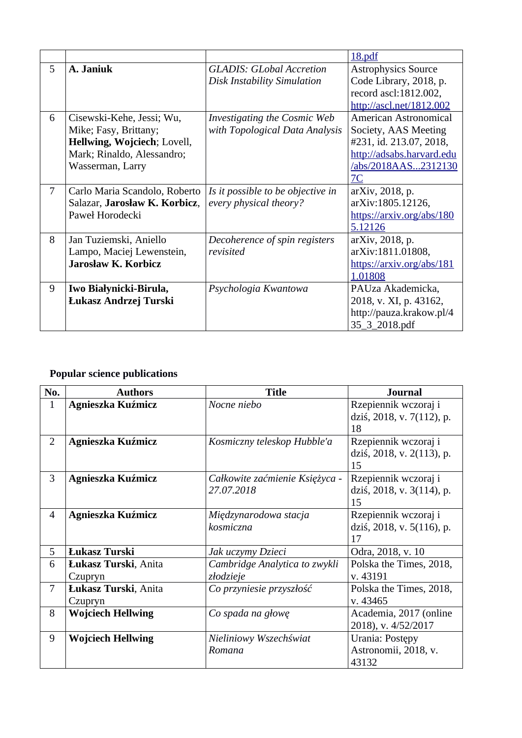|   |                               |                                     | 18.pdf                     |
|---|-------------------------------|-------------------------------------|----------------------------|
| 5 | A. Janiuk                     | <b>GLADIS: GLobal Accretion</b>     | <b>Astrophysics Source</b> |
|   |                               | <b>Disk Instability Simulation</b>  | Code Library, 2018, p.     |
|   |                               |                                     | record ascl:1812.002,      |
|   |                               |                                     | http://ascl.net/1812.002   |
| 6 | Cisewski-Kehe, Jessi; Wu,     | <b>Investigating the Cosmic Web</b> | American Astronomical      |
|   | Mike; Fasy, Brittany;         | with Topological Data Analysis      | Society, AAS Meeting       |
|   | Hellwing, Wojciech; Lovell,   |                                     | #231, id. 213.07, 2018,    |
|   | Mark; Rinaldo, Alessandro;    |                                     | http://adsabs.harvard.edu  |
|   | Wasserman, Larry              |                                     | /abs/2018AAS2312130        |
|   |                               |                                     | 7C                         |
| 7 | Carlo Maria Scandolo, Roberto | Is it possible to be objective in   | arXiv, 2018, p.            |
|   | Salazar, Jarosław K. Korbicz, | every physical theory?              | arXiv:1805.12126,          |
|   | Paweł Horodecki               |                                     | https://arxiv.org/abs/180  |
|   |                               |                                     | 5.12126                    |
| 8 | Jan Tuziemski, Aniello        | Decoherence of spin registers       | arXiv, 2018, p.            |
|   | Lampo, Maciej Lewenstein,     | revisited                           | arXiv:1811.01808,          |
|   | Jarosław K. Korbicz           |                                     | https://arxiv.org/abs/181  |
|   |                               |                                     | 1.01808                    |
| 9 | Iwo Białynicki-Birula,        | Psychologia Kwantowa                | PAUza Akademicka,          |
|   | Łukasz Andrzej Turski         |                                     | 2018, v. XI, p. 43162,     |
|   |                               |                                     | http://pauza.krakow.pl/4   |
|   |                               |                                     | 35_3_2018.pdf              |

## **Popular science publications**

| No.            | <b>Authors</b>           | <b>Title</b>                   | <b>Journal</b>            |
|----------------|--------------------------|--------------------------------|---------------------------|
| $\mathbf{1}$   | Agnieszka Kuźmicz        | Nocne niebo                    | Rzepiennik wczoraj i      |
|                |                          |                                | dziś, 2018, v. 7(112), p. |
|                |                          |                                | 18                        |
| $\overline{2}$ | Agnieszka Kuźmicz        | Kosmiczny teleskop Hubble'a    | Rzepiennik wczoraj i      |
|                |                          |                                | dziś, 2018, v. 2(113), p. |
|                |                          |                                | 15                        |
| 3              | Agnieszka Kuźmicz        | Całkowite zaćmienie Księżyca - | Rzepiennik wczoraj i      |
|                |                          | 27.07.2018                     | dziś, 2018, v. 3(114), p. |
|                |                          |                                | 15                        |
| $\overline{4}$ | <b>Agnieszka Kuźmicz</b> | Międzynarodowa stacja          | Rzepiennik wczoraj i      |
|                |                          | kosmiczna                      | dziś, 2018, v. 5(116), p. |
|                |                          |                                | 17                        |
| 5              | Łukasz Turski            | Jak uczymy Dzieci              | Odra, 2018, v. 10         |
| 6              | Łukasz Turski, Anita     | Cambridge Analytica to zwykli  | Polska the Times, 2018,   |
|                | Czupryn                  | złodzieje                      | v. 43191                  |
| 7              | Łukasz Turski, Anita     | Co przyniesie przyszłość       | Polska the Times, 2018,   |
|                | Czupryn                  |                                | v. 43465                  |
| 8              | <b>Wojciech Hellwing</b> | Co spada na głowę              | Academia, 2017 (online    |
|                |                          |                                | 2018), v. 4/52/2017       |
| 9              | <b>Wojciech Hellwing</b> | Nieliniowy Wszechświat         | Urania: Postępy           |
|                |                          | Romana                         | Astronomii, 2018, v.      |
|                |                          |                                | 43132                     |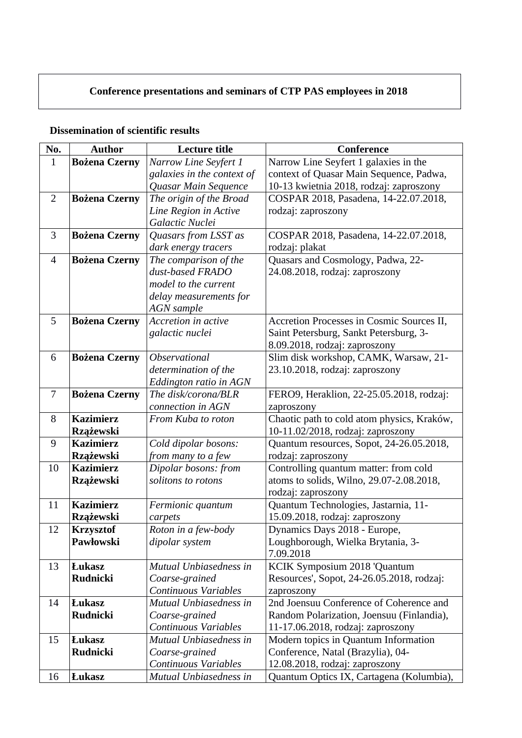## **Conference presentations and seminars of CTP PAS employees in 2018**

#### **Dissemination of scientific results**

| No.            | <b>Author</b>        | <b>Lecture title</b>       | Conference                                 |
|----------------|----------------------|----------------------------|--------------------------------------------|
| $\mathbf{1}$   | <b>Bożena Czerny</b> | Narrow Line Seyfert 1      | Narrow Line Seyfert 1 galaxies in the      |
|                |                      | galaxies in the context of | context of Quasar Main Sequence, Padwa,    |
|                |                      | Quasar Main Sequence       | 10-13 kwietnia 2018, rodzaj: zaproszony    |
| $\overline{2}$ | <b>Bożena Czerny</b> | The origin of the Broad    | COSPAR 2018, Pasadena, 14-22.07.2018,      |
|                |                      | Line Region in Active      | rodzaj: zaproszony                         |
|                |                      | Galactic Nuclei            |                                            |
| 3              | <b>Bożena Czerny</b> | Quasars from LSST as       | COSPAR 2018, Pasadena, 14-22.07.2018,      |
|                |                      | dark energy tracers        | rodzaj: plakat                             |
| 4              | <b>Bożena Czerny</b> | The comparison of the      | Quasars and Cosmology, Padwa, 22-          |
|                |                      | dust-based FRADO           | 24.08.2018, rodzaj: zaproszony             |
|                |                      | model to the current       |                                            |
|                |                      | delay measurements for     |                                            |
|                |                      | <b>AGN</b> sample          |                                            |
| 5              | <b>Bożena Czerny</b> | Accretion in active        | Accretion Processes in Cosmic Sources II,  |
|                |                      | galactic nuclei            | Saint Petersburg, Sankt Petersburg, 3-     |
|                |                      |                            | 8.09.2018, rodzaj: zaproszony              |
| 6              | <b>Bożena Czerny</b> | Observational              | Slim disk workshop, CAMK, Warsaw, 21-      |
|                |                      | determination of the       | 23.10.2018, rodzaj: zaproszony             |
|                |                      | Eddington ratio in AGN     |                                            |
| 7              | <b>Bożena Czerny</b> | The disk/corona/BLR        | FERO9, Heraklion, 22-25.05.2018, rodzaj:   |
|                |                      | connection in AGN          | zaproszony                                 |
| 8              | <b>Kazimierz</b>     | From Kuba to roton         | Chaotic path to cold atom physics, Kraków, |
|                | Rzążewski            |                            | 10-11.02/2018, rodzaj: zaproszony          |
| 9              | <b>Kazimierz</b>     | Cold dipolar bosons:       | Quantum resources, Sopot, 24-26.05.2018,   |
|                | <b>Rzążewski</b>     | from many to a few         | rodzaj: zaproszony                         |
| 10             | <b>Kazimierz</b>     | Dipolar bosons: from       | Controlling quantum matter: from cold      |
|                | <b>Rzążewski</b>     | solitons to rotons         | atoms to solids, Wilno, 29.07-2.08.2018,   |
|                |                      |                            | rodzaj: zaproszony                         |
| 11             | <b>Kazimierz</b>     | Fermionic quantum          | Quantum Technologies, Jastarnia, 11-       |
|                | <b>Rzążewski</b>     | carpets                    | 15.09.2018, rodzaj: zaproszony             |
| 12             | <b>Krzysztof</b>     | Roton in a few-body        | Dynamics Days 2018 - Europe,               |
|                | Pawłowski            | dipolar system             | Loughborough, Wielka Brytania, 3-          |
|                |                      |                            | 7.09.2018                                  |
| 13             | <b>Łukasz</b>        | Mutual Unbiasedness in     | KCIK Symposium 2018 'Quantum               |
|                | <b>Rudnicki</b>      | Coarse-grained             | Resources', Sopot, 24-26.05.2018, rodzaj:  |
|                |                      | Continuous Variables       | zaproszony                                 |
| 14             | <b>Łukasz</b>        | Mutual Unbiasedness in     | 2nd Joensuu Conference of Coherence and    |
|                | <b>Rudnicki</b>      | Coarse-grained             | Random Polarization, Joensuu (Finlandia),  |
|                |                      | Continuous Variables       | 11-17.06.2018, rodzaj: zaproszony          |
| 15             | <b>Łukasz</b>        | Mutual Unbiasedness in     | Modern topics in Quantum Information       |
|                | <b>Rudnicki</b>      | Coarse-grained             | Conference, Natal (Brazylia), 04-          |
|                |                      | Continuous Variables       | 12.08.2018, rodzaj: zaproszony             |
| 16             | <b>Łukasz</b>        | Mutual Unbiasedness in     | Quantum Optics IX, Cartagena (Kolumbia),   |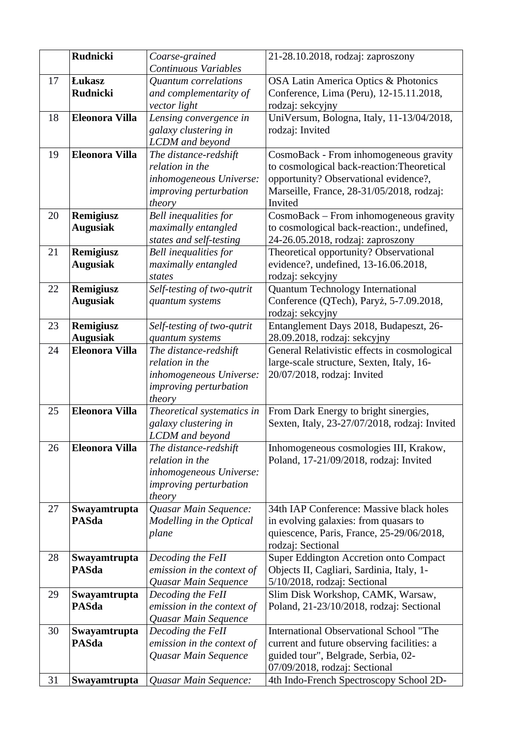|    | <b>Rudnicki</b>       | Coarse-grained                       | 21-28.10.2018, rodzaj: zaproszony                                                      |
|----|-----------------------|--------------------------------------|----------------------------------------------------------------------------------------|
|    |                       | Continuous Variables                 |                                                                                        |
| 17 | <b>Lukasz</b>         | <b>Quantum</b> correlations          | <b>OSA Latin America Optics &amp; Photonics</b>                                        |
|    | <b>Rudnicki</b>       | and complementarity of               | Conference, Lima (Peru), 12-15.11.2018,                                                |
|    |                       | vector light                         | rodzaj: sekcyjny                                                                       |
| 18 | <b>Eleonora Villa</b> | Lensing convergence in               | UniVersum, Bologna, Italy, 11-13/04/2018,                                              |
|    |                       | galaxy clustering in                 | rodzaj: Invited                                                                        |
|    |                       | <b>LCDM</b> and beyond               |                                                                                        |
| 19 | <b>Eleonora Villa</b> | The distance-redshift                | CosmoBack - From inhomogeneous gravity                                                 |
|    |                       | relation in the                      | to cosmological back-reaction: Theoretical                                             |
|    |                       | inhomogeneous Universe:              | opportunity? Observational evidence?,                                                  |
|    |                       | improving perturbation               | Marseille, France, 28-31/05/2018, rodzaj:                                              |
|    |                       | theory                               | Invited                                                                                |
| 20 | Remigiusz             | Bell inequalities for                | CosmoBack - From inhomogeneous gravity                                                 |
|    | <b>Augusiak</b>       | maximally entangled                  | to cosmological back-reaction:, undefined,                                             |
|    |                       | states and self-testing              | 24-26.05.2018, rodzaj: zaproszony                                                      |
| 21 | Remigiusz             | Bell inequalities for                | Theoretical opportunity? Observational                                                 |
|    | <b>Augusiak</b>       | maximally entangled                  | evidence?, undefined, 13-16.06.2018,                                                   |
|    |                       | states                               | rodzaj: sekcyjny                                                                       |
| 22 | Remigiusz             | Self-testing of two-qutrit           | Quantum Technology International                                                       |
|    | <b>Augusiak</b>       | quantum systems                      | Conference (QTech), Paryż, 5-7.09.2018,                                                |
|    |                       |                                      | rodzaj: sekcyjny                                                                       |
| 23 | Remigiusz             | Self-testing of two-qutrit           | Entanglement Days 2018, Budapeszt, 26-                                                 |
|    | <b>Augusiak</b>       | quantum systems                      | 28.09.2018, rodzaj: sekcyjny                                                           |
| 24 | <b>Eleonora Villa</b> | The distance-redshift                | General Relativistic effects in cosmological                                           |
|    |                       | relation in the                      | large-scale structure, Sexten, Italy, 16-                                              |
|    |                       | inhomogeneous Universe:              | 20/07/2018, rodzaj: Invited                                                            |
|    |                       | improving perturbation               |                                                                                        |
| 25 | <b>Eleonora Villa</b> | theory<br>Theoretical systematics in |                                                                                        |
|    |                       | galaxy clustering in                 | From Dark Energy to bright sinergies,<br>Sexten, Italy, 23-27/07/2018, rodzaj: Invited |
|    |                       | <b>LCDM</b> and beyond               |                                                                                        |
| 26 | <b>Eleonora Villa</b> | The distance-redshift                | Inhomogeneous cosmologies III, Krakow,                                                 |
|    |                       | relation in the                      | Poland, 17-21/09/2018, rodzaj: Invited                                                 |
|    |                       | inhomogeneous Universe:              |                                                                                        |
|    |                       | improving perturbation               |                                                                                        |
|    |                       | theory                               |                                                                                        |
| 27 | Swayamtrupta          | Quasar Main Sequence:                | 34th IAP Conference: Massive black holes                                               |
|    | <b>PASda</b>          | Modelling in the Optical             | in evolving galaxies: from quasars to                                                  |
|    |                       | plane                                | quiescence, Paris, France, 25-29/06/2018,                                              |
|    |                       |                                      | rodzaj: Sectional                                                                      |
| 28 | Swayamtrupta          | Decoding the FeII                    | <b>Super Eddington Accretion onto Compact</b>                                          |
|    | <b>PASda</b>          | emission in the context of           | Objects II, Cagliari, Sardinia, Italy, 1-                                              |
|    |                       | Quasar Main Sequence                 | 5/10/2018, rodzaj: Sectional                                                           |
| 29 | Swayamtrupta          | Decoding the FeII                    | Slim Disk Workshop, CAMK, Warsaw,                                                      |
|    | <b>PASda</b>          | emission in the context of           | Poland, 21-23/10/2018, rodzaj: Sectional                                               |
|    |                       | Quasar Main Sequence                 |                                                                                        |
| 30 | Swayamtrupta          | Decoding the FeII                    | International Observational School "The                                                |
|    | <b>PASda</b>          | emission in the context of           | current and future observing facilities: a                                             |
|    |                       | Quasar Main Sequence                 | guided tour", Belgrade, Serbia, 02-                                                    |
|    |                       |                                      | 07/09/2018, rodzaj: Sectional                                                          |
| 31 | Swayamtrupta          | Quasar Main Sequence:                | 4th Indo-French Spectroscopy School 2D-                                                |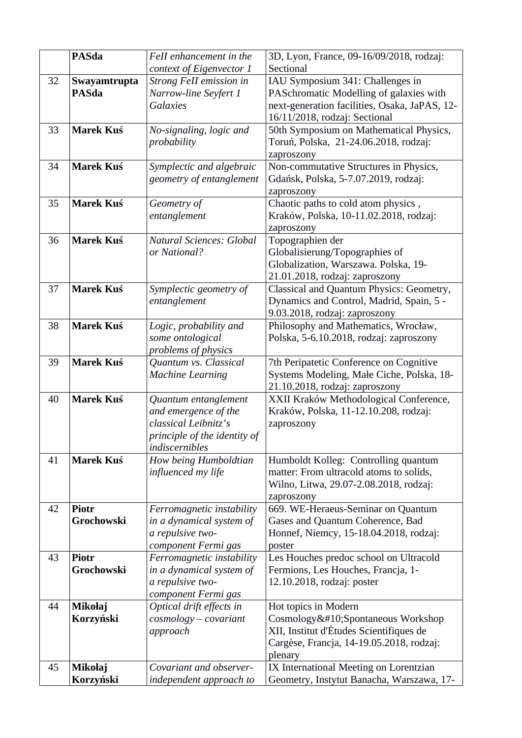|    | <b>PASda</b>               | FeII enhancement in the                               | 3D, Lyon, France, 09-16/09/2018, rodzaj:                                             |
|----|----------------------------|-------------------------------------------------------|--------------------------------------------------------------------------------------|
|    |                            | context of Eigenvector 1                              | Sectional                                                                            |
| 32 | Swayamtrupta               | Strong FeII emission in                               | IAU Symposium 341: Challenges in                                                     |
|    | <b>PASda</b>               | Narrow-line Seyfert 1                                 | PASchromatic Modelling of galaxies with                                              |
|    |                            | <b>Galaxies</b>                                       | next-generation facilities, Osaka, JaPAS, 12-                                        |
|    |                            |                                                       | 16/11/2018, rodzaj: Sectional                                                        |
| 33 | <b>Marek Kuś</b>           | No-signaling, logic and                               | 50th Symposium on Mathematical Physics,                                              |
|    |                            | probability                                           | Toruń, Polska, 21-24.06.2018, rodzaj:                                                |
| 34 | <b>Marek Kuś</b>           |                                                       | zaproszony                                                                           |
|    |                            | Symplectic and algebraic<br>geometry of entanglement  | Non-commutative Structures in Physics,<br>Gdańsk, Polska, 5-7.07.2019, rodzaj:       |
|    |                            |                                                       | zaproszony                                                                           |
| 35 | <b>Marek Kuś</b>           | Geometry of                                           | Chaotic paths to cold atom physics,                                                  |
|    |                            | entanglement                                          | Kraków, Polska, 10-11.02.2018, rodzaj:                                               |
|    |                            |                                                       | zaproszony                                                                           |
| 36 | <b>Marek Kuś</b>           | <b>Natural Sciences: Global</b>                       | Topographien der                                                                     |
|    |                            | or National?                                          | Globalisierung/Topographies of                                                       |
|    |                            |                                                       | Globalization, Warszawa. Polska, 19-                                                 |
|    |                            |                                                       | 21.01.2018, rodzaj: zaproszony                                                       |
| 37 | <b>Marek Kuś</b>           | Symplectic geometry of                                | Classical and Quantum Physics: Geometry,                                             |
|    |                            | entanglement                                          | Dynamics and Control, Madrid, Spain, 5 -                                             |
|    |                            |                                                       | 9.03.2018, rodzaj: zaproszony                                                        |
| 38 | <b>Marek Kuś</b>           | Logic, probability and                                | Philosophy and Mathematics, Wrocław,                                                 |
|    |                            | some ontological                                      | Polska, 5-6.10.2018, rodzaj: zaproszony                                              |
|    |                            | problems of physics                                   |                                                                                      |
| 39 | <b>Marek Kuś</b>           | Quantum vs. Classical<br><b>Machine Learning</b>      | 7th Peripatetic Conference on Cognitive<br>Systems Modeling, Małe Ciche, Polska, 18- |
|    |                            |                                                       | 21.10.2018, rodzaj: zaproszony                                                       |
| 40 | <b>Marek Kuś</b>           | Quantum entanglement                                  | XXII Kraków Methodological Conference,                                               |
|    |                            | and emergence of the                                  | Kraków, Polska, 11-12.10.208, rodzaj:                                                |
|    |                            | classical Leibnitz's                                  | zaproszony                                                                           |
|    |                            | principle of the identity of                          |                                                                                      |
|    |                            | indiscernibles                                        |                                                                                      |
| 41 | Marek Kuś                  | How being Humboldtian                                 | Humboldt Kolleg: Controlling quantum                                                 |
|    |                            | influenced my life                                    | matter: From ultracold atoms to solids,                                              |
|    |                            |                                                       | Wilno, Litwa, 29.07-2.08.2018, rodzaj:                                               |
|    |                            |                                                       | zaproszony                                                                           |
| 42 | <b>Piotr</b><br>Grochowski | Ferromagnetic instability<br>in a dynamical system of | 669. WE-Heraeus-Seminar on Quantum<br>Gases and Quantum Coherence, Bad               |
|    |                            | a repulsive two-                                      | Honnef, Niemcy, 15-18.04.2018, rodzaj:                                               |
|    |                            | component Fermi gas                                   | poster                                                                               |
| 43 | <b>Piotr</b>               | Ferromagnetic instability                             | Les Houches predoc school on Ultracold                                               |
|    | Grochowski                 | in a dynamical system of                              | Fermions, Les Houches, Francja, 1-                                                   |
|    |                            | a repulsive two-                                      | 12.10.2018, rodzaj: poster                                                           |
|    |                            | component Fermi gas                                   |                                                                                      |
| 44 | Mikołaj                    | Optical drift effects in                              | Hot topics in Modern                                                                 |
|    | Korzyński                  | $cosmology-covariant$                                 | Cosmology Spontaneous Workshop                                                       |
|    |                            | approach                                              | XII, Institut d'Études Scientifiques de                                              |
|    |                            |                                                       | Cargèse, Francja, 14-19.05.2018, rodzaj:                                             |
|    |                            |                                                       | plenary                                                                              |
| 45 | Mikołaj                    | Covariant and observer-                               | IX International Meeting on Lorentzian                                               |
|    | Korzyński                  | independent approach to                               | Geometry, Instytut Banacha, Warszawa, 17-                                            |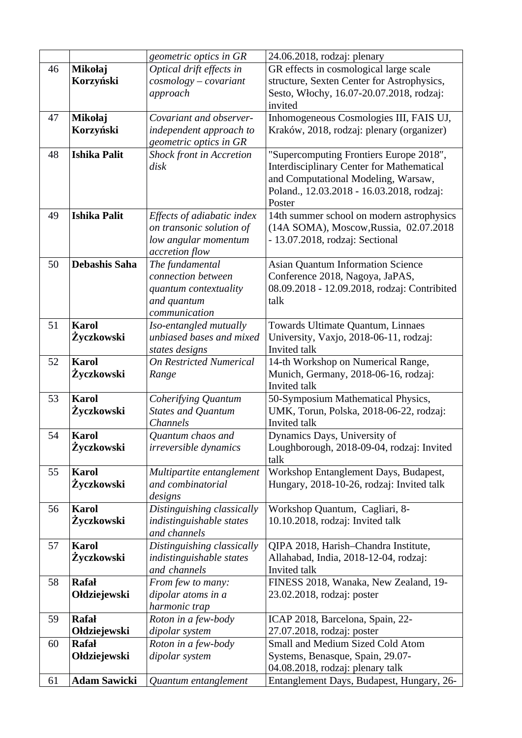|    |                      | geometric optics in GR                             | 24.06.2018, rodzaj: plenary                                                |
|----|----------------------|----------------------------------------------------|----------------------------------------------------------------------------|
| 46 | Mikołaj              | Optical drift effects in                           | GR effects in cosmological large scale                                     |
|    | Korzyński            | $cosmology-covariant$                              | structure, Sexten Center for Astrophysics,                                 |
|    |                      | approach                                           | Sesto, Włochy, 16.07-20.07.2018, rodzaj:                                   |
|    |                      |                                                    | invited                                                                    |
| 47 | Mikołaj              | Covariant and observer-                            | Inhomogeneous Cosmologies III, FAIS UJ,                                    |
|    | Korzyński            | independent approach to                            | Kraków, 2018, rodzaj: plenary (organizer)                                  |
|    |                      | geometric optics in GR                             |                                                                            |
| 48 | <b>Ishika Palit</b>  | <b>Shock front in Accretion</b>                    | "Supercomputing Frontiers Europe 2018",                                    |
|    |                      | disk                                               | <b>Interdisciplinary Center for Mathematical</b>                           |
|    |                      |                                                    | and Computational Modeling, Warsaw,                                        |
|    |                      |                                                    | Poland., 12.03.2018 - 16.03.2018, rodzaj:                                  |
|    |                      |                                                    | Poster                                                                     |
| 49 | <b>Ishika Palit</b>  | Effects of adiabatic index                         | 14th summer school on modern astrophysics                                  |
|    |                      | on transonic solution of                           | (14A SOMA), Moscow, Russia, 02.07.2018                                     |
|    |                      | low angular momentum                               | - 13.07.2018, rodzaj: Sectional                                            |
|    |                      | accretion flow                                     |                                                                            |
| 50 | <b>Debashis Saha</b> | The fundamental                                    | <b>Asian Quantum Information Science</b>                                   |
|    |                      | connection between                                 | Conference 2018, Nagoya, JaPAS,                                            |
|    |                      | quantum contextuality                              | 08.09.2018 - 12.09.2018, rodzaj: Contribited                               |
|    |                      | and quantum                                        | talk                                                                       |
|    | <b>Karol</b>         | communication                                      |                                                                            |
| 51 |                      | Iso-entangled mutually<br>unbiased bases and mixed | Towards Ultimate Quantum, Linnaes                                          |
|    | Žyczkowski           |                                                    | University, Vaxjo, 2018-06-11, rodzaj:<br>Invited talk                     |
| 52 | <b>Karol</b>         | states designs<br><b>On Restricted Numerical</b>   |                                                                            |
|    | Życzkowski           |                                                    | 14-th Workshop on Numerical Range,<br>Munich, Germany, 2018-06-16, rodzaj: |
|    |                      | Range                                              | Invited talk                                                               |
| 53 | <b>Karol</b>         | Coherifying Quantum                                | 50-Symposium Mathematical Physics,                                         |
|    | Życzkowski           | <b>States and Quantum</b>                          | UMK, Torun, Polska, 2018-06-22, rodzaj:                                    |
|    |                      | <b>Channels</b>                                    | Invited talk                                                               |
| 54 | <b>Karol</b>         | Quantum chaos and                                  | Dynamics Days, University of                                               |
|    | Žyczkowski           | irreversible dynamics                              | Loughborough, 2018-09-04, rodzaj: Invited                                  |
|    |                      |                                                    | talk                                                                       |
| 55 | <b>Karol</b>         | Multipartite entanglement                          | Workshop Entanglement Days, Budapest,                                      |
|    | Życzkowski           | and combinatorial                                  | Hungary, 2018-10-26, rodzaj: Invited talk                                  |
|    |                      | designs                                            |                                                                            |
| 56 | <b>Karol</b>         | Distinguishing classically                         | Workshop Quantum, Cagliari, 8-                                             |
|    | Życzkowski           | indistinguishable states                           | 10.10.2018, rodzaj: Invited talk                                           |
|    |                      | and channels                                       |                                                                            |
| 57 | <b>Karol</b>         | Distinguishing classically                         | QIPA 2018, Harish-Chandra Institute,                                       |
|    | Życzkowski           | indistinguishable states                           | Allahabad, India, 2018-12-04, rodzaj:                                      |
|    |                      | and channels                                       | Invited talk                                                               |
| 58 | <b>Rafał</b>         | From few to many:                                  | FINESS 2018, Wanaka, New Zealand, 19-                                      |
|    | Ołdziejewski         | dipolar atoms in a                                 | 23.02.2018, rodzaj: poster                                                 |
|    |                      | harmonic trap                                      |                                                                            |
| 59 | <b>Rafał</b>         | Roton in a few-body                                | ICAP 2018, Barcelona, Spain, 22-                                           |
|    | Ołdziejewski         | dipolar system                                     | 27.07.2018, rodzaj: poster                                                 |
| 60 | <b>Rafał</b>         | Roton in a few-body                                | Small and Medium Sized Cold Atom                                           |
|    | Ołdziejewski         | dipolar system                                     | Systems, Benasque, Spain, 29.07-                                           |
|    |                      |                                                    | 04.08.2018, rodzaj: plenary talk                                           |
| 61 | <b>Adam Sawicki</b>  | Quantum entanglement                               | Entanglement Days, Budapest, Hungary, 26-                                  |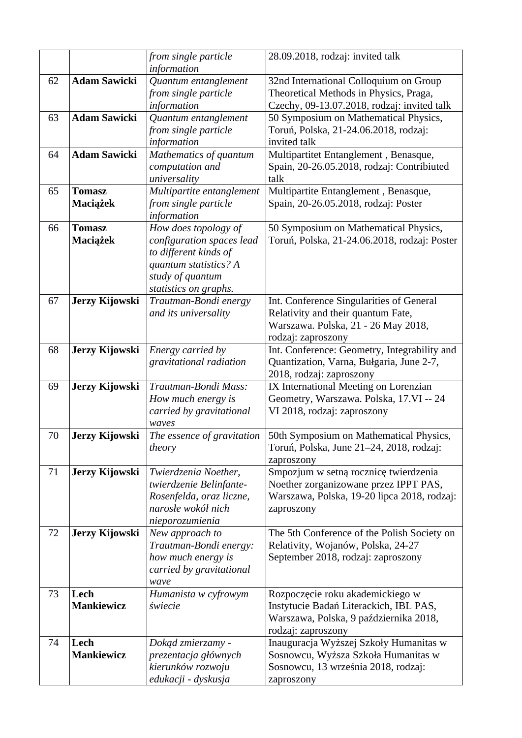|    |                           | from single particle            | 28.09.2018, rodzaj: invited talk                                           |
|----|---------------------------|---------------------------------|----------------------------------------------------------------------------|
|    |                           | information                     |                                                                            |
| 62 | <b>Adam Sawicki</b>       | Quantum entanglement            | 32nd International Colloquium on Group                                     |
|    |                           | from single particle            | Theoretical Methods in Physics, Praga,                                     |
|    |                           | information                     | Czechy, 09-13.07.2018, rodzaj: invited talk                                |
| 63 | <b>Adam Sawicki</b>       | Quantum entanglement            | 50 Symposium on Mathematical Physics,                                      |
|    |                           | from single particle            | Toruń, Polska, 21-24.06.2018, rodzaj:                                      |
|    |                           | information                     | invited talk                                                               |
| 64 | <b>Adam Sawicki</b>       | Mathematics of quantum          | Multipartitet Entanglement, Benasque,                                      |
|    |                           | computation and                 | Spain, 20-26.05.2018, rodzaj: Contribiuted                                 |
|    |                           | universality                    | talk                                                                       |
| 65 | <b>Tomasz</b>             | Multipartite entanglement       | Multipartite Entanglement, Benasque,                                       |
|    | Maciążek                  | from single particle            | Spain, 20-26.05.2018, rodzaj: Poster                                       |
|    |                           | information                     |                                                                            |
| 66 | <b>Tomasz</b>             | How does topology of            | 50 Symposium on Mathematical Physics,                                      |
|    | Maciążek                  | configuration spaces lead       | Toruń, Polska, 21-24.06.2018, rodzaj: Poster                               |
|    |                           | to different kinds of           |                                                                            |
|    |                           | quantum statistics? A           |                                                                            |
|    |                           | study of quantum                |                                                                            |
|    |                           | statistics on graphs.           |                                                                            |
| 67 | Jerzy Kijowski            | Trautman-Bondi energy           | Int. Conference Singularities of General                                   |
|    |                           | and its universality            | Relativity and their quantum Fate,                                         |
|    |                           |                                 | Warszawa. Polska, 21 - 26 May 2018,                                        |
| 68 | Jerzy Kijowski            | Energy carried by               | rodzaj: zaproszony<br>Int. Conference: Geometry, Integrability and         |
|    |                           | gravitational radiation         | Quantization, Varna, Bułgaria, June 2-7,                                   |
|    |                           |                                 | 2018, rodzaj: zaproszony                                                   |
| 69 | Jerzy Kijowski            | Trautman-Bondi Mass:            | IX International Meeting on Lorenzian                                      |
|    |                           | How much energy is              | Geometry, Warszawa. Polska, 17.VI -- 24                                    |
|    |                           | carried by gravitational        | VI 2018, rodzaj: zaproszony                                                |
|    |                           | waves                           |                                                                            |
| 70 | Jerzy Kijowski            | The essence of gravitation      | 50th Symposium on Mathematical Physics,                                    |
|    |                           | theory                          | Toruń, Polska, June 21–24, 2018, rodzaj:                                   |
|    |                           |                                 | zaproszony                                                                 |
| 71 | Jerzy Kijowski            | Twierdzenia Noether,            | Smpozjum w setną rocznicę twierdzenia                                      |
|    |                           | twierdzenie Belinfante-         | Noether zorganizowane przez IPPT PAS,                                      |
|    |                           | Rosenfelda, oraz liczne,        | Warszawa, Polska, 19-20 lipca 2018, rodzaj:                                |
|    |                           | narosłe wokół nich              | zaproszony                                                                 |
|    |                           | nieporozumienia                 |                                                                            |
| 72 | Jerzy Kijowski            | New approach to                 | The 5th Conference of the Polish Society on                                |
|    |                           | Trautman-Bondi energy:          | Relativity, Wojanów, Polska, 24-27                                         |
|    |                           | how much energy is              | September 2018, rodzaj: zaproszony                                         |
|    |                           | carried by gravitational        |                                                                            |
|    |                           | wave                            |                                                                            |
| 73 | Lech<br><b>Mankiewicz</b> | Humanista w cyfrowym<br>świecie | Rozpoczęcie roku akademickiego w<br>Instytucie Badań Literackich, IBL PAS, |
|    |                           |                                 | Warszawa, Polska, 9 października 2018,                                     |
|    |                           |                                 | rodzaj: zaproszony                                                         |
| 74 | Lech                      | Dokąd zmierzamy -               | Inauguracja Wyższej Szkoły Humanitas w                                     |
|    | <b>Mankiewicz</b>         | prezentacja głównych            | Sosnowcu, Wyższa Szkoła Humanitas w                                        |
|    |                           | kierunków rozwoju               | Sosnowcu, 13 września 2018, rodzaj:                                        |
|    |                           | edukacji - dyskusja             | zaproszony                                                                 |
|    |                           |                                 |                                                                            |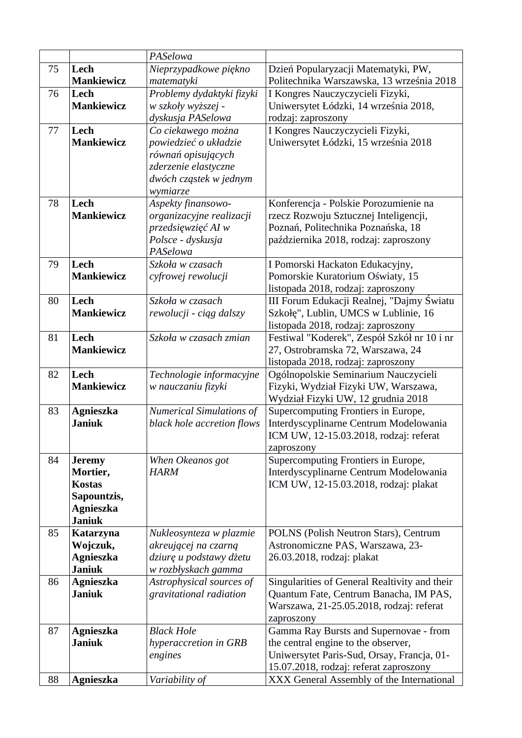|    |                                   | PASelowa                                       |                                                                                   |
|----|-----------------------------------|------------------------------------------------|-----------------------------------------------------------------------------------|
| 75 | Lech                              | Nieprzypadkowe piękno                          | Dzień Popularyzacji Matematyki, PW,                                               |
|    | <b>Mankiewicz</b>                 | matematyki                                     | Politechnika Warszawska, 13 września 2018                                         |
| 76 | Lech                              | Problemy dydaktyki fizyki                      | I Kongres Nauczyczycieli Fizyki,                                                  |
|    | <b>Mankiewicz</b>                 | w szkoły wyższej -                             | Uniwersytet Łódzki, 14 września 2018,                                             |
|    |                                   | dyskusja PASelowa                              | rodzaj: zaproszony                                                                |
| 77 | Lech                              | Co ciekawego można                             | I Kongres Nauczyczycieli Fizyki,                                                  |
|    | <b>Mankiewicz</b>                 | powiedzieć o układzie                          | Uniwersytet Łódzki, 15 września 2018                                              |
|    |                                   | równań opisujących                             |                                                                                   |
|    |                                   | zderzenie elastyczne                           |                                                                                   |
|    |                                   | dwóch cząstek w jednym                         |                                                                                   |
|    |                                   | wymiarze                                       |                                                                                   |
| 78 | Lech                              | Aspekty finansowo-                             | Konferencja - Polskie Porozumienie na                                             |
|    | <b>Mankiewicz</b>                 | organizacyjne realizacji                       | rzecz Rozwoju Sztucznej Inteligencji,                                             |
|    |                                   | przedsięwzięć AI w                             | Poznań, Politechnika Poznańska, 18                                                |
|    |                                   | Polsce - dyskusja                              | października 2018, rodzaj: zaproszony                                             |
|    |                                   | PASelowa                                       |                                                                                   |
| 79 | Lech                              | Szkoła w czasach                               | I Pomorski Hackaton Edukacyjny,                                                   |
|    | <b>Mankiewicz</b>                 | cyfrowej rewolucji                             | Pomorskie Kuratorium Oświaty, 15                                                  |
|    |                                   |                                                | listopada 2018, rodzaj: zaproszony                                                |
| 80 | Lech                              | Szkoła w czasach                               | III Forum Edukacji Realnej, "Dajmy Światu                                         |
|    | <b>Mankiewicz</b>                 | rewolucji - ciąg dalszy                        | Szkołę", Lublin, UMCS w Lublinie, 16                                              |
| 81 | Lech                              | Szkoła w czasach zmian                         | listopada 2018, rodzaj: zaproszony<br>Festiwal "Koderek", Zespół Szkół nr 10 i nr |
|    | <b>Mankiewicz</b>                 |                                                | 27, Ostrobramska 72, Warszawa, 24                                                 |
|    |                                   |                                                | listopada 2018, rodzaj: zaproszony                                                |
| 82 | Lech                              | Technologie informacyjne                       | Ogólnopolskie Seminarium Nauczycieli                                              |
|    | <b>Mankiewicz</b>                 | w nauczaniu fizyki                             | Fizyki, Wydział Fizyki UW, Warszawa,                                              |
|    |                                   |                                                | Wydział Fizyki UW, 12 grudnia 2018                                                |
| 83 | <b>Agnieszka</b>                  | <b>Numerical Simulations of</b>                | Supercomputing Frontiers in Europe,                                               |
|    | <b>Janiuk</b>                     | black hole accretion flows                     | Interdyscyplinarne Centrum Modelowania                                            |
|    |                                   |                                                | ICM UW, 12-15.03.2018, rodzaj: referat                                            |
|    |                                   |                                                | zaproszony                                                                        |
| 84 | <b>Jeremy</b>                     | When Okeanos got                               | Supercomputing Frontiers in Europe,                                               |
|    | Mortier,                          | <b>HARM</b>                                    | Interdyscyplinarne Centrum Modelowania                                            |
|    | <b>Kostas</b>                     |                                                | ICM UW, 12-15.03.2018, rodzaj: plakat                                             |
|    | Sapountzis,                       |                                                |                                                                                   |
|    | <b>Agnieszka</b>                  |                                                |                                                                                   |
|    | <b>Janiuk</b>                     |                                                |                                                                                   |
| 85 | Katarzyna                         | Nukleosynteza w plazmie                        | POLNS (Polish Neutron Stars), Centrum                                             |
|    | Wojczuk,                          | akreującej na czarną                           | Astronomiczne PAS, Warszawa, 23-                                                  |
|    | <b>Agnieszka</b><br><b>Janiuk</b> | dziurę u podstawy dżetu<br>w rozbłyskach gamma | 26.03.2018, rodzaj: plakat                                                        |
| 86 | <b>Agnieszka</b>                  | Astrophysical sources of                       | Singularities of General Realtivity and their                                     |
|    | <b>Janiuk</b>                     | gravitational radiation                        | Quantum Fate, Centrum Banacha, IM PAS,                                            |
|    |                                   |                                                | Warszawa, 21-25.05.2018, rodzaj: referat                                          |
|    |                                   |                                                | zaproszony                                                                        |
| 87 | <b>Agnieszka</b>                  | <b>Black Hole</b>                              | Gamma Ray Bursts and Supernovae - from                                            |
|    | <b>Janiuk</b>                     | hyperaccretion in GRB                          | the central engine to the observer,                                               |
|    |                                   | engines                                        | Uniwersytet Paris-Sud, Orsay, Francja, 01-                                        |
|    |                                   |                                                | 15.07.2018, rodzaj: referat zaproszony                                            |
| 88 | <b>Agnieszka</b>                  | Variability of                                 | XXX General Assembly of the International                                         |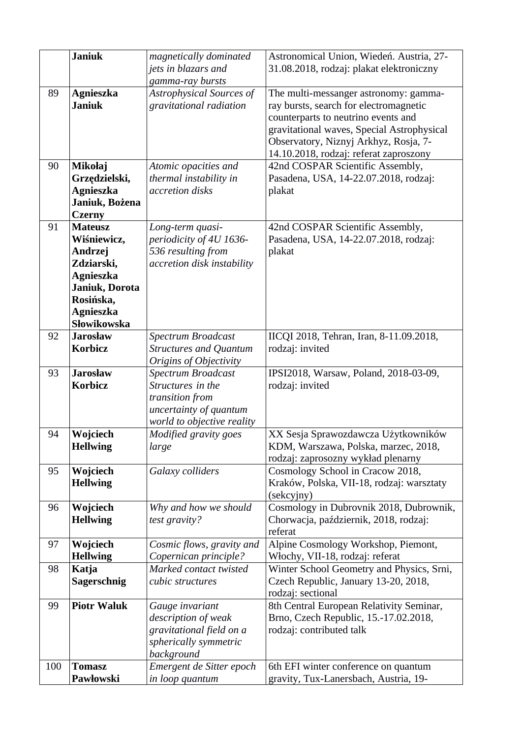|     | <b>Janiuk</b>                                                                                                                                | magnetically dominated<br>jets in blazars and<br>gamma-ray bursts                                                  | Astronomical Union, Wiedeń. Austria, 27-<br>31.08.2018, rodzaj: plakat elektroniczny                                                                                                                                                                    |
|-----|----------------------------------------------------------------------------------------------------------------------------------------------|--------------------------------------------------------------------------------------------------------------------|---------------------------------------------------------------------------------------------------------------------------------------------------------------------------------------------------------------------------------------------------------|
| 89  | <b>Agnieszka</b><br><b>Janiuk</b>                                                                                                            | Astrophysical Sources of<br>gravitational radiation                                                                | The multi-messanger astronomy: gamma-<br>ray bursts, search for electromagnetic<br>counterparts to neutrino events and<br>gravitational waves, Special Astrophysical<br>Observatory, Niznyj Arkhyz, Rosja, 7-<br>14.10.2018, rodzaj: referat zaproszony |
| 90  | Mikołaj<br>Grzędzielski,<br><b>Agnieszka</b><br>Janiuk, Bożena<br><b>Czerny</b>                                                              | Atomic opacities and<br>thermal instability in<br>accretion disks                                                  | 42nd COSPAR Scientific Assembly,<br>Pasadena, USA, 14-22.07.2018, rodzaj:<br>plakat                                                                                                                                                                     |
| 91  | <b>Mateusz</b><br>Wiśniewicz,<br>Andrzej<br>Zdziarski,<br><b>Agnieszka</b><br>Janiuk, Dorota<br>Rosińska,<br><b>Agnieszka</b><br>Słowikowska | Long-term quasi-<br>periodicity of 4U 1636-<br>536 resulting from<br>accretion disk instability                    | 42nd COSPAR Scientific Assembly,<br>Pasadena, USA, 14-22.07.2018, rodzaj:<br>plakat                                                                                                                                                                     |
| 92  | <b>Jarosław</b><br><b>Korbicz</b>                                                                                                            | Spectrum Broadcast<br><b>Structures and Quantum</b><br>Origins of Objectivity                                      | IICQI 2018, Tehran, Iran, 8-11.09.2018,<br>rodzaj: invited                                                                                                                                                                                              |
| 93  | <b>Jarosław</b><br><b>Korbicz</b>                                                                                                            | Spectrum Broadcast<br>Structures in the<br>transition from<br>uncertainty of quantum<br>world to objective reality | IPSI2018, Warsaw, Poland, 2018-03-09,<br>rodzaj: invited                                                                                                                                                                                                |
| 94  | Wojciech<br><b>Hellwing</b>                                                                                                                  | Modified gravity goes<br>large                                                                                     | XX Sesja Sprawozdawcza Użytkowników<br>KDM, Warszawa, Polska, marzec, 2018,<br>rodzaj: zaprosozny wykład plenarny                                                                                                                                       |
| 95  | Wojciech<br><b>Hellwing</b>                                                                                                                  | Galaxy colliders                                                                                                   | Cosmology School in Cracow 2018,<br>Kraków, Polska, VII-18, rodzaj: warsztaty<br>(sekcyjny)                                                                                                                                                             |
| 96  | Wojciech<br><b>Hellwing</b>                                                                                                                  | Why and how we should<br>test gravity?                                                                             | Cosmology in Dubrovnik 2018, Dubrownik,<br>Chorwacja, październik, 2018, rodzaj:<br>referat                                                                                                                                                             |
| 97  | Wojciech<br><b>Hellwing</b>                                                                                                                  | Cosmic flows, gravity and<br>Copernican principle?                                                                 | Alpine Cosmology Workshop, Piemont,<br>Włochy, VII-18, rodzaj: referat                                                                                                                                                                                  |
| 98  | Katja<br>Sagerschnig                                                                                                                         | Marked contact twisted<br>cubic structures                                                                         | Winter School Geometry and Physics, Srni,<br>Czech Republic, January 13-20, 2018,<br>rodzaj: sectional                                                                                                                                                  |
| 99  | <b>Piotr Waluk</b>                                                                                                                           | Gauge invariant<br>description of weak<br>gravitational field on a<br>spherically symmetric<br>background          | 8th Central European Relativity Seminar,<br>Brno, Czech Republic, 15.-17.02.2018,<br>rodzaj: contributed talk                                                                                                                                           |
| 100 | <b>Tomasz</b><br>Pawłowski                                                                                                                   | Emergent de Sitter epoch<br>in loop quantum                                                                        | 6th EFI winter conference on quantum<br>gravity, Tux-Lanersbach, Austria, 19-                                                                                                                                                                           |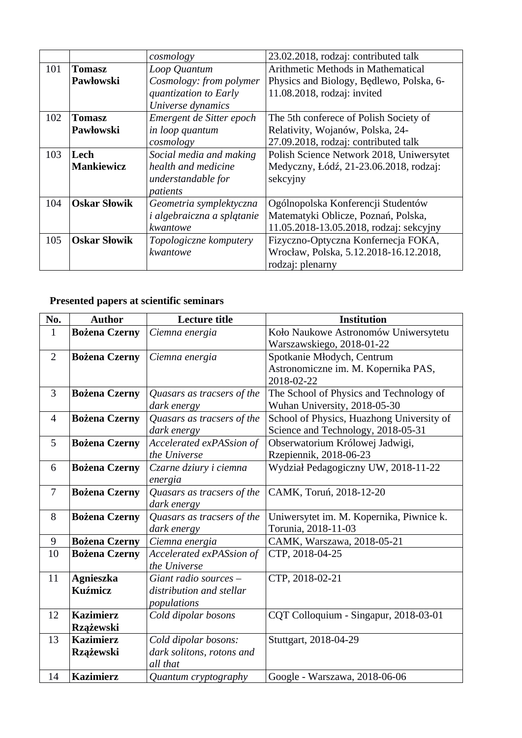|     |                     | cosmology                         | 23.02.2018, rodzaj: contributed talk     |
|-----|---------------------|-----------------------------------|------------------------------------------|
| 101 | Tomasz              | Loop Quantum                      | Arithmetic Methods in Mathematical       |
|     | Pawłowski           | Cosmology: from polymer           | Physics and Biology, Bedlewo, Polska, 6- |
|     |                     | quantization to Early             | 11.08.2018, rodzaj: invited              |
|     |                     | Universe dynamics                 |                                          |
| 102 | Tomasz              | Emergent de Sitter epoch          | The 5th conferece of Polish Society of   |
|     | Pawłowski           | in loop quantum                   | Relativity, Wojanów, Polska, 24-         |
|     |                     | cosmology                         | 27.09.2018, rodzaj: contributed talk     |
| 103 | Lech                | Social media and making           | Polish Science Network 2018, Uniwersytet |
|     | Mankiewicz          | health and medicine               | Medyczny, Łódź, 21-23.06.2018, rodzaj:   |
|     |                     | understandable for                | sekcyjny                                 |
|     |                     | patients                          |                                          |
| 104 | <b>Oskar Słowik</b> | Geometria symplektyczna           | Ogólnopolska Konferencji Studentów       |
|     |                     | <i>i</i> algebraiczna a splątanie | Matematyki Oblicze, Poznań, Polska,      |
|     |                     | kwantowe                          | 11.05.2018-13.05.2018, rodzaj: sekcyjny  |
| 105 | <b>Oskar Słowik</b> | Topologiczne komputery            | Fizyczno-Optyczna Konfernecja FOKA,      |
|     |                     | kwantowe                          | Wrocław, Polska, 5.12.2018-16.12.2018,   |
|     |                     |                                   | rodzaj: plenarny                         |

## **Presented papers at scientific seminars**

| No.            | <b>Author</b>        | <b>Lecture title</b>       | <b>Institution</b>                        |
|----------------|----------------------|----------------------------|-------------------------------------------|
| $\mathbf{1}$   | <b>Bożena Czerny</b> | Ciemna energia             | Koło Naukowe Astronomów Uniwersytetu      |
|                |                      |                            | Warszawskiego, 2018-01-22                 |
| $\overline{2}$ | <b>Bożena Czerny</b> | Ciemna energia             | Spotkanie Młodych, Centrum                |
|                |                      |                            | Astronomiczne im. M. Kopernika PAS,       |
|                |                      |                            | 2018-02-22                                |
| 3              | <b>Bożena Czerny</b> | Quasars as tracsers of the | The School of Physics and Technology of   |
|                |                      | dark energy                | Wuhan University, 2018-05-30              |
| 4              | <b>Bożena Czerny</b> | Quasars as tracsers of the | School of Physics, Huazhong University of |
|                |                      | dark energy                | Science and Technology, 2018-05-31        |
| 5              | <b>Bożena Czerny</b> | Accelerated exPASsion of   | Obserwatorium Królowej Jadwigi,           |
|                |                      | the Universe               | Rzepiennik, 2018-06-23                    |
| 6              | <b>Bożena Czerny</b> | Czarne dziury i ciemna     | Wydział Pedagogiczny UW, 2018-11-22       |
|                |                      | energia                    |                                           |
| $\overline{7}$ | <b>Bożena Czerny</b> | Quasars as tracsers of the | CAMK, Toruń, 2018-12-20                   |
|                |                      | dark energy                |                                           |
| 8              | <b>Bożena Czerny</b> | Quasars as tracsers of the | Uniwersytet im. M. Kopernika, Piwnice k.  |
|                |                      | dark energy                | Torunia, 2018-11-03                       |
| 9              | <b>Bożena Czerny</b> | Ciemna energia             | CAMK, Warszawa, 2018-05-21                |
| 10             | <b>Bożena Czerny</b> | Accelerated exPASsion of   | CTP, 2018-04-25                           |
|                |                      | the Universe               |                                           |
| 11             | <b>Agnieszka</b>     | Giant radio sources -      | CTP, 2018-02-21                           |
|                | <b>Kuźmicz</b>       | distribution and stellar   |                                           |
|                |                      | populations                |                                           |
| 12             | <b>Kazimierz</b>     | Cold dipolar bosons        | CQT Colloquium - Singapur, 2018-03-01     |
|                | Rzążewski            |                            |                                           |
| 13             | <b>Kazimierz</b>     | Cold dipolar bosons:       | Stuttgart, 2018-04-29                     |
|                | <b>Rzążewski</b>     | dark solitons, rotons and  |                                           |
|                |                      | all that                   |                                           |
| 14             | <b>Kazimierz</b>     | Quantum cryptography       | Google - Warszawa, 2018-06-06             |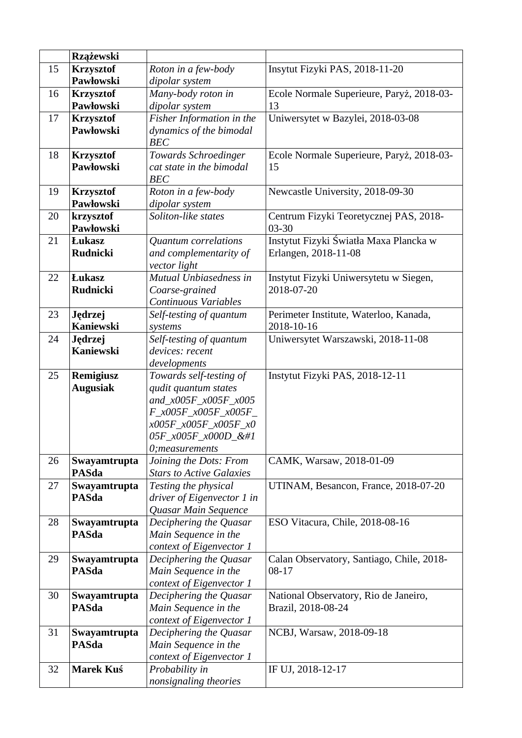|    | <b>Rzążewski</b>                     |                                                  |                                           |
|----|--------------------------------------|--------------------------------------------------|-------------------------------------------|
| 15 |                                      |                                                  | Insytut Fizyki PAS, 2018-11-20            |
|    | <b>Krzysztof</b><br><b>Pawłowski</b> | Roton in a few-body<br>dipolar system            |                                           |
| 16 | <b>Krzysztof</b>                     | Many-body roton in                               | Ecole Normale Superieure, Paryż, 2018-03- |
|    | Pawłowski                            | dipolar system                                   | 13                                        |
| 17 | <b>Krzysztof</b>                     | Fisher Information in the                        | Uniwersytet w Bazylei, 2018-03-08         |
|    | Pawłowski                            | dynamics of the bimodal                          |                                           |
|    |                                      | <b>BEC</b>                                       |                                           |
| 18 | <b>Krzysztof</b>                     | Towards Schroedinger                             | Ecole Normale Superieure, Paryż, 2018-03- |
|    | <b>Pawłowski</b>                     | cat state in the bimodal                         | 15                                        |
|    |                                      | <b>BEC</b>                                       |                                           |
| 19 | <b>Krzysztof</b>                     | Roton in a few-body                              | Newcastle University, 2018-09-30          |
|    | Pawłowski                            | dipolar system                                   |                                           |
| 20 | krzysztof                            | Soliton-like states                              | Centrum Fizyki Teoretycznej PAS, 2018-    |
|    | Pawłowski                            |                                                  | 03-30                                     |
| 21 | <b>Lukasz</b>                        | <b>Quantum</b> correlations                      | Instytut Fizyki Światła Maxa Plancka w    |
|    | <b>Rudnicki</b>                      | and complementarity of                           | Erlangen, 2018-11-08                      |
|    |                                      | vector light                                     |                                           |
| 22 | <b>Lukasz</b>                        | Mutual Unbiasedness in                           | Instytut Fizyki Uniwersytetu w Siegen,    |
|    | <b>Rudnicki</b>                      | Coarse-grained                                   | 2018-07-20                                |
|    |                                      | Continuous Variables                             |                                           |
| 23 | Jędrzej                              | Self-testing of quantum                          | Perimeter Institute, Waterloo, Kanada,    |
|    | <b>Kaniewski</b>                     | systems                                          | 2018-10-16                                |
| 24 | Jędrzej                              | Self-testing of quantum                          | Uniwersytet Warszawski, 2018-11-08        |
|    | <b>Kaniewski</b>                     | devices: recent                                  |                                           |
|    |                                      | developments                                     |                                           |
| 25 | Remigiusz                            | Towards self-testing of<br>qudit quantum states  | Instytut Fizyki PAS, 2018-12-11           |
|    | <b>Augusiak</b>                      | and_x005F_x005F_x005                             |                                           |
|    |                                      | F_x005F_x005F_x005F_                             |                                           |
|    |                                      | x005F_x005F_x005F_x0                             |                                           |
|    |                                      | 05F_x005F_x000D_                                |                                           |
|    |                                      | 0; measurements                                  |                                           |
| 26 | Swayamtrupta                         | Joining the Dots: From                           | CAMK, Warsaw, 2018-01-09                  |
|    | <b>PASda</b>                         | <b>Stars to Active Galaxies</b>                  |                                           |
| 27 | Swayamtrupta                         | Testing the physical                             | UTINAM, Besancon, France, 2018-07-20      |
|    | <b>PASda</b>                         | driver of Eigenvector 1 in                       |                                           |
|    |                                      | Quasar Main Sequence                             |                                           |
| 28 | Swayamtrupta                         | Deciphering the Quasar                           | ESO Vitacura, Chile, 2018-08-16           |
|    | <b>PASda</b>                         | Main Sequence in the                             |                                           |
|    |                                      | context of Eigenvector 1                         |                                           |
| 29 | Swayamtrupta                         | Deciphering the Quasar                           | Calan Observatory, Santiago, Chile, 2018- |
|    | <b>PASda</b>                         | Main Sequence in the                             | 08-17                                     |
|    |                                      | context of Eigenvector 1                         |                                           |
| 30 | Swayamtrupta                         | Deciphering the Quasar                           | National Observatory, Rio de Janeiro,     |
|    | <b>PASda</b>                         | Main Sequence in the                             | Brazil, 2018-08-24                        |
|    |                                      | context of Eigenvector 1                         |                                           |
| 31 | Swayamtrupta<br><b>PASda</b>         | Deciphering the Quasar                           | NCBJ, Warsaw, 2018-09-18                  |
|    |                                      | Main Sequence in the<br>context of Eigenvector 1 |                                           |
| 32 | <b>Marek Kuś</b>                     | Probability in                                   | IF UJ, 2018-12-17                         |
|    |                                      | nonsignaling theories                            |                                           |
|    |                                      |                                                  |                                           |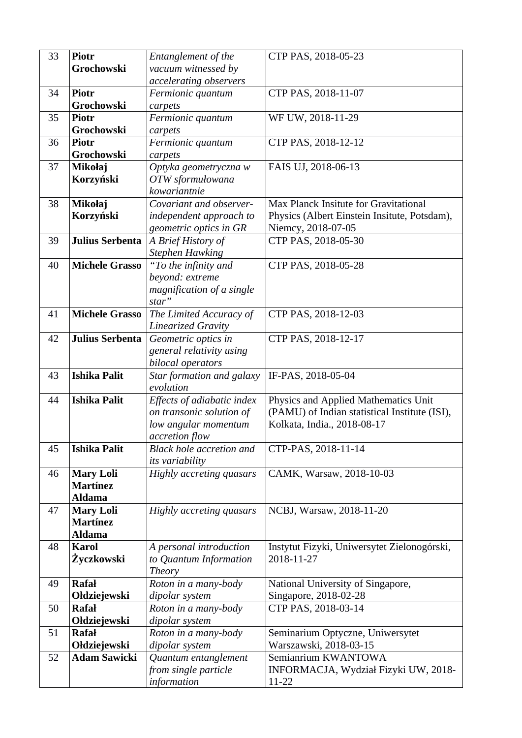| 33 | <b>Piotr</b>                  | Entanglement of the              | CTP PAS, 2018-05-23                           |
|----|-------------------------------|----------------------------------|-----------------------------------------------|
|    | Grochowski                    | vacuum witnessed by              |                                               |
|    |                               | accelerating observers           |                                               |
| 34 | <b>Piotr</b>                  | Fermionic quantum                | CTP PAS, 2018-11-07                           |
|    | Grochowski                    | carpets                          |                                               |
| 35 | Piotr                         | Fermionic quantum                | WF UW, 2018-11-29                             |
|    | Grochowski                    | carpets                          |                                               |
| 36 | Piotr                         | Fermionic quantum                | CTP PAS, 2018-12-12                           |
|    | Grochowski                    | carpets                          |                                               |
| 37 | <b>Mikołaj</b>                | Optyka geometryczna w            | FAIS UJ, 2018-06-13                           |
|    | Korzyński                     | OTW sformułowana                 |                                               |
|    |                               | kowariantnie                     |                                               |
| 38 | Mikołaj                       | Covariant and observer-          | Max Planck Insitute for Gravitational         |
|    | Korzyński                     | independent approach to          | Physics (Albert Einstein Insitute, Potsdam),  |
|    |                               | geometric optics in GR           | Niemcy, 2018-07-05                            |
| 39 | Julius Serbenta               | A Brief History of               | CTP PAS, 2018-05-30                           |
|    |                               | <b>Stephen Hawking</b>           |                                               |
| 40 | <b>Michele Grasso</b>         | "To the infinity and             | CTP PAS, 2018-05-28                           |
|    |                               | beyond: extreme                  |                                               |
|    |                               | magnification of a single        |                                               |
|    |                               | star"                            |                                               |
| 41 | <b>Michele Grasso</b>         | The Limited Accuracy of          | CTP PAS, 2018-12-03                           |
|    |                               | <b>Linearized Gravity</b>        |                                               |
| 42 | Julius Serbenta               | Geometric optics in              | CTP PAS, 2018-12-17                           |
|    |                               | general relativity using         |                                               |
|    |                               | bilocal operators                |                                               |
| 43 | <b>Ishika Palit</b>           | Star formation and galaxy        | IF-PAS, 2018-05-04                            |
|    |                               | evolution                        |                                               |
| 44 | <b>Ishika Palit</b>           | Effects of adiabatic index       | Physics and Applied Mathematics Unit          |
|    |                               | on transonic solution of         | (PAMU) of Indian statistical Institute (ISI), |
|    |                               | low angular momentum             | Kolkata, India., 2018-08-17                   |
|    |                               | accretion flow                   |                                               |
| 45 | <b>Ishika Palit</b>           | <b>Black hole accretion and</b>  | CTP-PAS, 2018-11-14                           |
|    |                               | its variability                  |                                               |
| 46 | <b>Mary Loli</b>              | <b>Highly accreting quasars</b>  | CAMK, Warsaw, 2018-10-03                      |
|    | <b>Martínez</b>               |                                  |                                               |
|    | <b>Aldama</b>                 |                                  |                                               |
| 47 | <b>Mary Loli</b>              | <b>Highly accreting quasars</b>  | NCBJ, Warsaw, 2018-11-20                      |
|    | <b>Martínez</b>               |                                  |                                               |
| 48 | <b>Aldama</b><br><b>Karol</b> |                                  |                                               |
|    |                               | A personal introduction          | Instytut Fizyki, Uniwersytet Zielonogórski,   |
|    | Życzkowski                    | to Quantum Information<br>Theory | 2018-11-27                                    |
| 49 | <b>Rafał</b>                  | Roton in a many-body             | National University of Singapore,             |
|    | Ołdziejewski                  | dipolar system                   | Singapore, 2018-02-28                         |
| 50 | <b>Rafał</b>                  | Roton in a many-body             | CTP PAS, 2018-03-14                           |
|    | Ołdziejewski                  | dipolar system                   |                                               |
| 51 | <b>Rafał</b>                  | Roton in a many-body             | Seminarium Optyczne, Uniwersytet              |
|    | Ołdziejewski                  | dipolar system                   | Warszawski, 2018-03-15                        |
| 52 | <b>Adam Sawicki</b>           | Quantum entanglement             | Semianrium KWANTOWA                           |
|    |                               | from single particle             | INFORMACJA, Wydział Fizyki UW, 2018-          |
|    |                               | information                      | 11-22                                         |
|    |                               |                                  |                                               |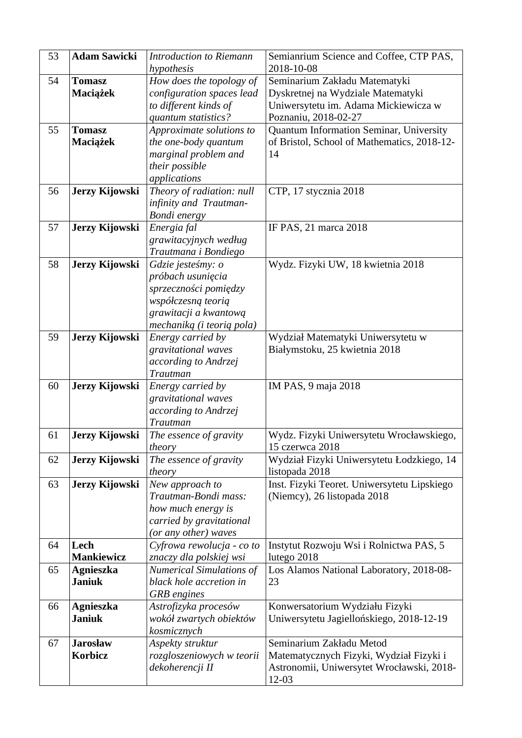| 53 | <b>Adam Sawicki</b> | <b>Introduction to Riemann</b><br>hypothesis | Semianrium Science and Coffee, CTP PAS,<br>2018-10-08 |
|----|---------------------|----------------------------------------------|-------------------------------------------------------|
| 54 | <b>Tomasz</b>       | How does the topology of                     | Seminarium Zakładu Matematyki                         |
|    | Maciążek            | configuration spaces lead                    | Dyskretnej na Wydziale Matematyki                     |
|    |                     | to different kinds of                        | Uniwersytetu im. Adama Mickiewicza w                  |
|    |                     | quantum statistics?                          | Poznaniu, 2018-02-27                                  |
| 55 | <b>Tomasz</b>       | Approximate solutions to                     | Quantum Information Seminar, University               |
|    | Maciążek            | the one-body quantum                         | of Bristol, School of Mathematics, 2018-12-           |
|    |                     | marginal problem and                         | 14                                                    |
|    |                     | their possible                               |                                                       |
|    |                     | applications                                 |                                                       |
| 56 | Jerzy Kijowski      | Theory of radiation: null                    | CTP, 17 stycznia 2018                                 |
|    |                     | infinity and Trautman-                       |                                                       |
|    |                     | Bondi energy                                 |                                                       |
| 57 | Jerzy Kijowski      | Energia fal                                  | IF PAS, 21 marca 2018                                 |
|    |                     | grawitacyjnych według                        |                                                       |
|    |                     | Trautmana i Bondiego                         |                                                       |
| 58 | Jerzy Kijowski      | Gdzie jesteśmy: o                            | Wydz. Fizyki UW, 18 kwietnia 2018                     |
|    |                     | próbach usunięcia                            |                                                       |
|    |                     | sprzeczności pomiędzy                        |                                                       |
|    |                     | współczesną teorią                           |                                                       |
|    |                     | grawitacji a kwantową                        |                                                       |
|    |                     | mechaniką (i teorią pola)                    |                                                       |
| 59 | Jerzy Kijowski      | Energy carried by                            | Wydział Matematyki Uniwersytetu w                     |
|    |                     | gravitational waves                          | Białymstoku, 25 kwietnia 2018                         |
|    |                     | according to Andrzej                         |                                                       |
|    |                     | Trautman                                     |                                                       |
| 60 | Jerzy Kijowski      | Energy carried by                            | IM PAS, 9 maja 2018                                   |
|    |                     | gravitational waves                          |                                                       |
|    |                     | according to Andrzej<br>Trautman             |                                                       |
| 61 | Jerzy Kijowski      | The essence of gravity                       | Wydz. Fizyki Uniwersytetu Wrocławskiego,              |
|    |                     | theory                                       | 15 czerwca 2018                                       |
| 62 | Jerzy Kijowski      | The essence of gravity                       | Wydział Fizyki Uniwersytetu Łodzkiego, 14             |
|    |                     | theory                                       | listopada 2018                                        |
| 63 | Jerzy Kijowski      | New approach to                              | Inst. Fizyki Teoret. Uniwersytetu Lipskiego           |
|    |                     | Trautman-Bondi mass:                         | (Niemcy), 26 listopada 2018                           |
|    |                     | how much energy is                           |                                                       |
|    |                     | carried by gravitational                     |                                                       |
|    |                     | (or any other) waves                         |                                                       |
| 64 | Lech                | Cyfrowa rewolucja - co to                    | Instytut Rozwoju Wsi i Rolnictwa PAS, 5               |
|    | <b>Mankiewicz</b>   | znaczy dla polskiej wsi                      | lutego 2018                                           |
| 65 | <b>Agnieszka</b>    | <b>Numerical Simulations of</b>              | Los Alamos National Laboratory, 2018-08-              |
|    | <b>Janiuk</b>       | black hole accretion in                      | 23                                                    |
| 66 | <b>Agnieszka</b>    | <b>GRB</b> engines<br>Astrofizyka procesów   | Konwersatorium Wydziału Fizyki                        |
|    | <b>Janiuk</b>       | wokół zwartych obiektów                      | Uniwersytetu Jagiellońskiego, 2018-12-19              |
|    |                     | kosmicznych                                  |                                                       |
| 67 | <b>Jarosław</b>     | Aspekty struktur                             | Seminarium Zakładu Metod                              |
|    | Korbicz             | rozgloszeniowych w teorii                    | Matematycznych Fizyki, Wydział Fizyki i               |
|    |                     | dekoherencji II                              | Astronomii, Uniwersytet Wrocławski, 2018-             |
|    |                     |                                              | 12-03                                                 |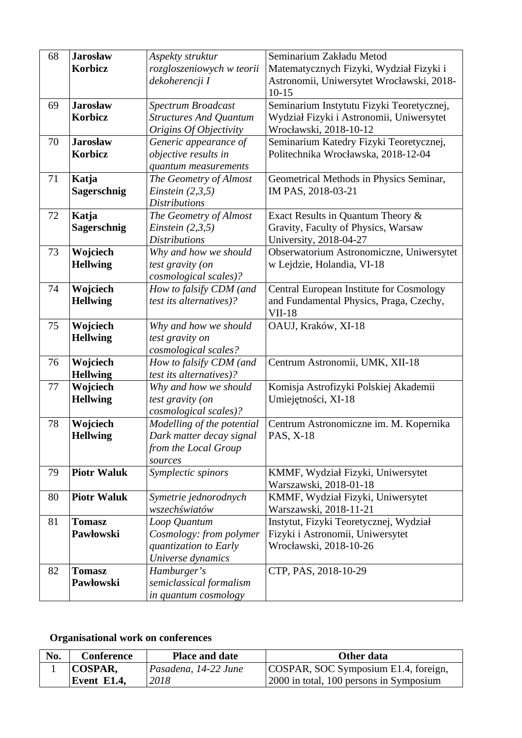| 68 | <b>Jarosław</b>    | Aspekty struktur              | Seminarium Zakładu Metod                  |
|----|--------------------|-------------------------------|-------------------------------------------|
|    | Korbicz            | rozgloszeniowych w teorii     | Matematycznych Fizyki, Wydział Fizyki i   |
|    |                    | dekoherencji I                | Astronomii, Uniwersytet Wrocławski, 2018- |
|    |                    |                               | $10 - 15$                                 |
| 69 | <b>Jarosław</b>    | Spectrum Broadcast            | Seminarium Instytutu Fizyki Teoretycznej, |
|    | Korbicz            | <b>Structures And Quantum</b> | Wydział Fizyki i Astronomii, Uniwersytet  |
|    |                    | Origins Of Objectivity        | Wrocławski, 2018-10-12                    |
| 70 | <b>Jarosław</b>    | Generic appearance of         | Seminarium Katedry Fizyki Teoretycznej,   |
|    | Korbicz            | objective results in          | Politechnika Wrocławska, 2018-12-04       |
|    |                    | quantum measurements          |                                           |
| 71 | Katja              | The Geometry of Almost        | Geometrical Methods in Physics Seminar,   |
|    | Sagerschnig        | Einstein $(2,3,5)$            | IM PAS, 2018-03-21                        |
|    |                    | <b>Distributions</b>          |                                           |
| 72 | Katja              | The Geometry of Almost        | Exact Results in Quantum Theory &         |
|    | Sagerschnig        | Einstein $(2,3,5)$            | Gravity, Faculty of Physics, Warsaw       |
|    |                    | <b>Distributions</b>          | University, 2018-04-27                    |
| 73 | Wojciech           | Why and how we should         | Obserwatorium Astronomiczne, Uniwersytet  |
|    | <b>Hellwing</b>    | test gravity (on              | w Lejdzie, Holandia, VI-18                |
|    |                    |                               |                                           |
|    |                    | cosmological scales)?         |                                           |
| 74 | Wojciech           | How to falsify CDM (and       | Central European Institute for Cosmology  |
|    | <b>Hellwing</b>    | test its alternatives)?       | and Fundamental Physics, Praga, Czechy,   |
|    |                    |                               | <b>VII-18</b>                             |
| 75 | Wojciech           | Why and how we should         | OAUJ, Kraków, XI-18                       |
|    | <b>Hellwing</b>    | test gravity on               |                                           |
|    |                    | cosmological scales?          |                                           |
| 76 | Wojciech           | How to falsify CDM (and       | Centrum Astronomii, UMK, XII-18           |
|    | <b>Hellwing</b>    | test its alternatives)?       |                                           |
| 77 | Wojciech           | Why and how we should         | Komisja Astrofizyki Polskiej Akademii     |
|    | <b>Hellwing</b>    | test gravity (on              | Umiejętności, XI-18                       |
|    |                    | cosmological scales)?         |                                           |
| 78 | Wojciech           | Modelling of the potential    | Centrum Astronomiczne im. M. Kopernika    |
|    | <b>Hellwing</b>    | Dark matter decay signal      | PAS, X-18                                 |
|    |                    | from the Local Group          |                                           |
|    |                    | sources                       |                                           |
| 79 | <b>Piotr Waluk</b> | Symplectic spinors            | KMMF, Wydział Fizyki, Uniwersytet         |
|    |                    |                               | Warszawski, 2018-01-18                    |
| 80 | <b>Piotr Waluk</b> | Symetrie jednorodnych         | KMMF, Wydział Fizyki, Uniwersytet         |
|    |                    | wszechświatów                 | Warszawski, 2018-11-21                    |
| 81 | <b>Tomasz</b>      | Loop Quantum                  | Instytut, Fizyki Teoretycznej, Wydział    |
|    | Pawłowski          | Cosmology: from polymer       | Fizyki i Astronomii, Uniwersytet          |
|    |                    | quantization to Early         | Wrocławski, 2018-10-26                    |
|    |                    | Universe dynamics             |                                           |
| 82 | <b>Tomasz</b>      | Hamburger's                   | CTP, PAS, 2018-10-29                      |
|    | Pawłowski          | semiclassical formalism       |                                           |
|    |                    | in quantum cosmology          |                                           |

## **Organisational work on conferences**

| No. | Conference  | <b>Place and date</b> | Other data                                |
|-----|-------------|-----------------------|-------------------------------------------|
|     | COSPAR,     | Pasadena, 14-22 June  | COSPAR, SOC Symposium E1.4, foreign,      |
|     | Event E1.4, | 2018                  | [2000 in total, 100 persons in Symposium] |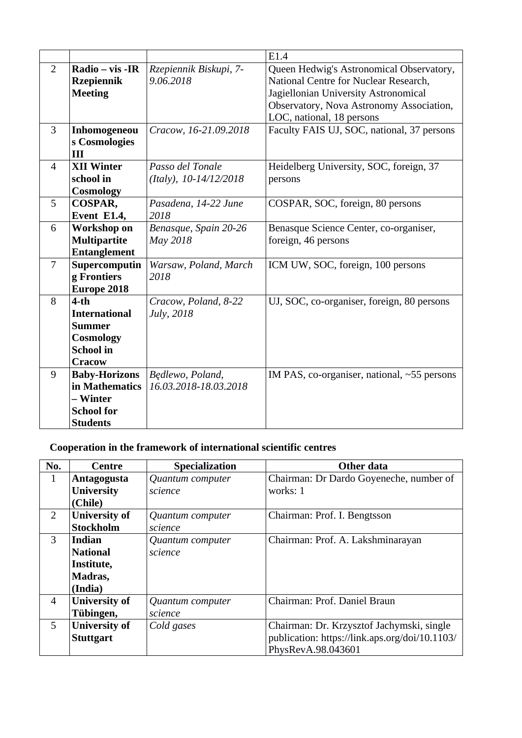|                |                                                                                                   |                                            | E1.4                                                                                                                                                                                               |
|----------------|---------------------------------------------------------------------------------------------------|--------------------------------------------|----------------------------------------------------------------------------------------------------------------------------------------------------------------------------------------------------|
| $\overline{2}$ | Radio – vis -IR<br><b>Rzepiennik</b><br><b>Meeting</b>                                            | Rzepiennik Biskupi, 7-<br>9.06.2018        | Queen Hedwig's Astronomical Observatory,<br>National Centre for Nuclear Research,<br>Jagiellonian University Astronomical<br>Observatory, Nova Astronomy Association,<br>LOC, national, 18 persons |
| 3              | Inhomogeneou<br>s Cosmologies<br>III                                                              | Cracow, 16-21.09.2018                      | Faculty FAIS UJ, SOC, national, 37 persons                                                                                                                                                         |
| 4              | <b>XII Winter</b><br>school in<br><b>Cosmology</b>                                                | Passo del Tonale<br>(Italy), 10-14/12/2018 | Heidelberg University, SOC, foreign, 37<br>persons                                                                                                                                                 |
| 5              | COSPAR,<br>Event E1.4,                                                                            | Pasadena, 14-22 June<br>2018               | COSPAR, SOC, foreign, 80 persons                                                                                                                                                                   |
| 6              | Workshop on<br><b>Multipartite</b><br><b>Entanglement</b>                                         | Benasque, Spain 20-26<br>May 2018          | Benasque Science Center, co-organiser,<br>foreign, 46 persons                                                                                                                                      |
| 7              | Supercomputin<br>g Frontiers<br>Europe 2018                                                       | Warsaw, Poland, March<br>2018              | ICM UW, SOC, foreign, 100 persons                                                                                                                                                                  |
| 8              | $4-th$<br><b>International</b><br><b>Summer</b><br>Cosmology<br><b>School</b> in<br><b>Cracow</b> | Cracow, Poland, 8-22<br>July, 2018         | UJ, SOC, co-organiser, foreign, 80 persons                                                                                                                                                         |
| 9              | <b>Baby-Horizons</b><br>in Mathematics<br>– Winter<br><b>School for</b><br><b>Students</b>        | Będlewo, Poland,<br>16.03.2018-18.03.2018  | IM PAS, co-organiser, national, ~55 persons                                                                                                                                                        |

## **Cooperation in the framework of international scientific centres**

| No.            | Centre               | <b>Specialization</b> | Other data                                     |
|----------------|----------------------|-----------------------|------------------------------------------------|
| 1              | Antagogusta          | Quantum computer      | Chairman: Dr Dardo Goyeneche, number of        |
|                | <b>University</b>    | science               | works: 1                                       |
|                | (Chile)              |                       |                                                |
| $\overline{2}$ | <b>University of</b> | Quantum computer      | Chairman: Prof. I. Bengtsson                   |
|                | <b>Stockholm</b>     | science               |                                                |
| 3              | <b>Indian</b>        | Quantum computer      | Chairman: Prof. A. Lakshminarayan              |
|                | <b>National</b>      | science               |                                                |
|                | Institute,           |                       |                                                |
|                | Madras,              |                       |                                                |
|                | (India)              |                       |                                                |
| $\overline{4}$ | <b>University of</b> | Quantum computer      | Chairman: Prof. Daniel Braun                   |
|                | Tübingen,            | science               |                                                |
| 5              | <b>University of</b> | Cold gases            | Chairman: Dr. Krzysztof Jachymski, single      |
|                | <b>Stuttgart</b>     |                       | publication: https://link.aps.org/doi/10.1103/ |
|                |                      |                       | PhysRevA.98.043601                             |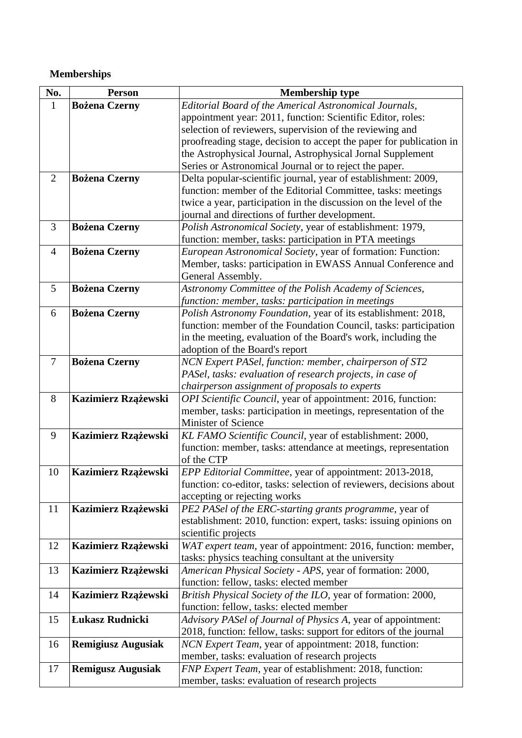## **Memberships**

| No.            | <b>Person</b>             | <b>Membership type</b>                                                                                              |
|----------------|---------------------------|---------------------------------------------------------------------------------------------------------------------|
| $\mathbf{1}$   | <b>Bożena Czerny</b>      | Editorial Board of the Americal Astronomical Journals,                                                              |
|                |                           | appointment year: 2011, function: Scientific Editor, roles:                                                         |
|                |                           | selection of reviewers, supervision of the reviewing and                                                            |
|                |                           | proofreading stage, decision to accept the paper for publication in                                                 |
|                |                           | the Astrophysical Journal, Astrophysical Jornal Supplement                                                          |
|                |                           | Series or Astronomical Journal or to reject the paper.                                                              |
| $\overline{2}$ | <b>Bożena Czerny</b>      | Delta popular-scientific journal, year of establishment: 2009,                                                      |
|                |                           | function: member of the Editorial Committee, tasks: meetings                                                        |
|                |                           | twice a year, participation in the discussion on the level of the                                                   |
|                |                           | journal and directions of further development.                                                                      |
| 3              | <b>Bożena Czerny</b>      | Polish Astronomical Society, year of establishment: 1979,                                                           |
|                |                           | function: member, tasks: participation in PTA meetings                                                              |
| $\overline{4}$ | <b>Bożena Czerny</b>      | European Astronomical Society, year of formation: Function:                                                         |
|                |                           | Member, tasks: participation in EWASS Annual Conference and                                                         |
|                |                           | General Assembly.                                                                                                   |
| 5              | <b>Bożena Czerny</b>      | Astronomy Committee of the Polish Academy of Sciences,                                                              |
|                |                           | function: member, tasks: participation in meetings                                                                  |
| 6              | <b>Bożena Czerny</b>      | Polish Astronomy Foundation, year of its establishment: 2018,                                                       |
|                |                           | function: member of the Foundation Council, tasks: participation                                                    |
|                |                           | in the meeting, evaluation of the Board's work, including the                                                       |
| 7              |                           | adoption of the Board's report                                                                                      |
|                | <b>Bożena Czerny</b>      | NCN Expert PASel, function: member, chairperson of ST2<br>PASel, tasks: evaluation of research projects, in case of |
|                |                           | chairperson assignment of proposals to experts                                                                      |
| 8              | Kazimierz Rzążewski       | OPI Scientific Council, year of appointment: 2016, function:                                                        |
|                |                           | member, tasks: participation in meetings, representation of the                                                     |
|                |                           | <b>Minister of Science</b>                                                                                          |
| 9              | Kazimierz Rzążewski       | KL FAMO Scientific Council, year of establishment: 2000,                                                            |
|                |                           | function: member, tasks: attendance at meetings, representation                                                     |
|                |                           | of the CTP                                                                                                          |
| 10             | Kazimierz Rzążewski       | EPP Editorial Committee, year of appointment: 2013-2018,                                                            |
|                |                           | function: co-editor, tasks: selection of reviewers, decisions about                                                 |
|                |                           | accepting or rejecting works                                                                                        |
| 11             | Kazimierz Rzążewski       | PE2 PASel of the ERC-starting grants programme, year of                                                             |
|                |                           | establishment: 2010, function: expert, tasks: issuing opinions on                                                   |
|                |                           | scientific projects                                                                                                 |
| 12             | Kazimierz Rzążewski       | WAT expert team, year of appointment: 2016, function: member,                                                       |
|                |                           | tasks: physics teaching consultant at the university                                                                |
| 13             | Kazimierz Rzążewski       | American Physical Society - APS, year of formation: 2000,                                                           |
|                |                           | function: fellow, tasks: elected member                                                                             |
| 14             | Kazimierz Rzążewski       | British Physical Society of the ILO, year of formation: 2000,                                                       |
|                |                           | function: fellow, tasks: elected member                                                                             |
| 15             | Łukasz Rudnicki           | Advisory PASel of Journal of Physics A, year of appointment:                                                        |
|                |                           | 2018, function: fellow, tasks: support for editors of the journal                                                   |
| 16             | <b>Remigiusz Augusiak</b> | NCN Expert Team, year of appointment: 2018, function:                                                               |
|                |                           | member, tasks: evaluation of research projects                                                                      |
| 17             | <b>Remigusz Augusiak</b>  | FNP Expert Team, year of establishment: 2018, function:                                                             |
|                |                           | member, tasks: evaluation of research projects                                                                      |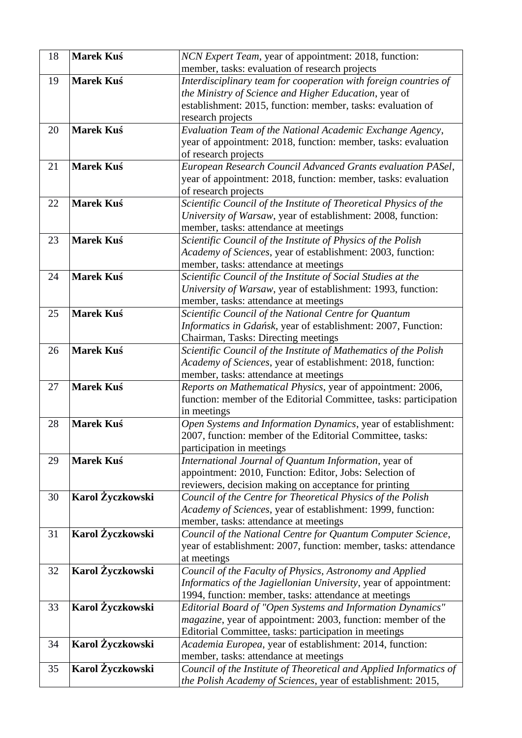| 18 | <b>Marek Kuś</b> | NCN Expert Team, year of appointment: 2018, function:<br>member, tasks: evaluation of research projects |
|----|------------------|---------------------------------------------------------------------------------------------------------|
| 19 | <b>Marek Kuś</b> | Interdisciplinary team for cooperation with foreign countries of                                        |
|    |                  | the Ministry of Science and Higher Education, year of                                                   |
|    |                  | establishment: 2015, function: member, tasks: evaluation of                                             |
|    |                  | research projects                                                                                       |
| 20 | <b>Marek Kuś</b> | Evaluation Team of the National Academic Exchange Agency,                                               |
|    |                  | year of appointment: 2018, function: member, tasks: evaluation                                          |
|    |                  | of research projects                                                                                    |
| 21 | <b>Marek Kuś</b> | European Research Council Advanced Grants evaluation PASel,                                             |
|    |                  | year of appointment: 2018, function: member, tasks: evaluation                                          |
|    |                  | of research projects                                                                                    |
| 22 | <b>Marek Kuś</b> | Scientific Council of the Institute of Theoretical Physics of the                                       |
|    |                  | University of Warsaw, year of establishment: 2008, function:                                            |
|    |                  | member, tasks: attendance at meetings                                                                   |
| 23 | <b>Marek Kuś</b> | Scientific Council of the Institute of Physics of the Polish                                            |
|    |                  | Academy of Sciences, year of establishment: 2003, function:                                             |
|    |                  | member, tasks: attendance at meetings                                                                   |
| 24 | <b>Marek Kuś</b> | Scientific Council of the Institute of Social Studies at the                                            |
|    |                  | University of Warsaw, year of establishment: 1993, function:                                            |
|    |                  | member, tasks: attendance at meetings                                                                   |
| 25 | <b>Marek Kuś</b> | Scientific Council of the National Centre for Quantum                                                   |
|    |                  | Informatics in Gdańsk, year of establishment: 2007, Function:                                           |
|    |                  | Chairman, Tasks: Directing meetings                                                                     |
| 26 | <b>Marek Kuś</b> | Scientific Council of the Institute of Mathematics of the Polish                                        |
|    |                  | Academy of Sciences, year of establishment: 2018, function:                                             |
|    |                  | member, tasks: attendance at meetings                                                                   |
| 27 | <b>Marek Kuś</b> | Reports on Mathematical Physics, year of appointment: 2006,                                             |
|    |                  | function: member of the Editorial Committee, tasks: participation                                       |
|    |                  | in meetings                                                                                             |
| 28 | <b>Marek Kuś</b> | Open Systems and Information Dynamics, year of establishment:                                           |
|    |                  | 2007, function: member of the Editorial Committee, tasks:                                               |
| 29 | Marek Kuś        | participation in meetings<br>International Journal of Quantum Information, year of                      |
|    |                  | appointment: 2010, Function: Editor, Jobs: Selection of                                                 |
|    |                  | reviewers, decision making on acceptance for printing                                                   |
| 30 | Karol Życzkowski | Council of the Centre for Theoretical Physics of the Polish                                             |
|    |                  | Academy of Sciences, year of establishment: 1999, function:                                             |
|    |                  | member, tasks: attendance at meetings                                                                   |
| 31 | Karol Życzkowski | Council of the National Centre for Quantum Computer Science,                                            |
|    |                  | year of establishment: 2007, function: member, tasks: attendance                                        |
|    |                  | at meetings                                                                                             |
| 32 | Karol Życzkowski | Council of the Faculty of Physics, Astronomy and Applied                                                |
|    |                  | Informatics of the Jagiellonian University, year of appointment:                                        |
|    |                  | 1994, function: member, tasks: attendance at meetings                                                   |
| 33 | Karol Życzkowski | Editorial Board of "Open Systems and Information Dynamics"                                              |
|    |                  | magazine, year of appointment: 2003, function: member of the                                            |
|    |                  | Editorial Committee, tasks: participation in meetings                                                   |
| 34 | Karol Życzkowski | Academia Europea, year of establishment: 2014, function:                                                |
|    |                  | member, tasks: attendance at meetings                                                                   |
| 35 | Karol Życzkowski | Council of the Institute of Theoretical and Applied Informatics of                                      |
|    |                  | the Polish Academy of Sciences, year of establishment: 2015,                                            |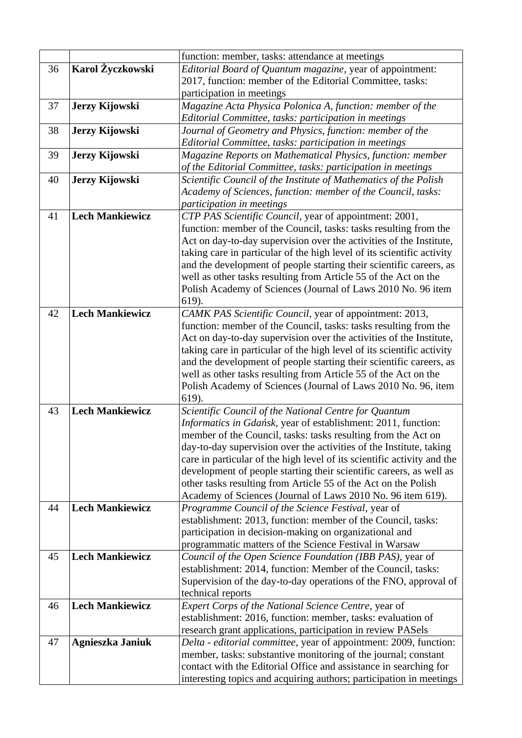|    |                        | function: member, tasks: attendance at meetings                         |  |
|----|------------------------|-------------------------------------------------------------------------|--|
| 36 | Karol Życzkowski       | Editorial Board of Quantum magazine, year of appointment:               |  |
|    |                        | 2017, function: member of the Editorial Committee, tasks:               |  |
|    |                        | participation in meetings                                               |  |
| 37 | Jerzy Kijowski         | Magazine Acta Physica Polonica A, function: member of the               |  |
|    |                        | Editorial Committee, tasks: participation in meetings                   |  |
| 38 | Jerzy Kijowski         | Journal of Geometry and Physics, function: member of the                |  |
|    |                        | Editorial Committee, tasks: participation in meetings                   |  |
| 39 | Jerzy Kijowski         | Magazine Reports on Mathematical Physics, function: member              |  |
|    |                        | of the Editorial Committee, tasks: participation in meetings            |  |
| 40 | Jerzy Kijowski         | Scientific Council of the Institute of Mathematics of the Polish        |  |
|    |                        | Academy of Sciences, function: member of the Council, tasks:            |  |
|    |                        | participation in meetings                                               |  |
| 41 | <b>Lech Mankiewicz</b> | CTP PAS Scientific Council, year of appointment: 2001,                  |  |
|    |                        | function: member of the Council, tasks: tasks resulting from the        |  |
|    |                        | Act on day-to-day supervision over the activities of the Institute,     |  |
|    |                        | taking care in particular of the high level of its scientific activity  |  |
|    |                        | and the development of people starting their scientific careers, as     |  |
|    |                        | well as other tasks resulting from Article 55 of the Act on the         |  |
|    |                        | Polish Academy of Sciences (Journal of Laws 2010 No. 96 item            |  |
|    |                        | 619).                                                                   |  |
| 42 | <b>Lech Mankiewicz</b> | CAMK PAS Scientific Council, year of appointment: 2013,                 |  |
|    |                        | function: member of the Council, tasks: tasks resulting from the        |  |
|    |                        | Act on day-to-day supervision over the activities of the Institute,     |  |
|    |                        | taking care in particular of the high level of its scientific activity  |  |
|    |                        | and the development of people starting their scientific careers, as     |  |
|    |                        | well as other tasks resulting from Article 55 of the Act on the         |  |
|    |                        | Polish Academy of Sciences (Journal of Laws 2010 No. 96, item           |  |
|    |                        | 619).                                                                   |  |
| 43 | <b>Lech Mankiewicz</b> | Scientific Council of the National Centre for Quantum                   |  |
|    |                        | Informatics in Gdańsk, year of establishment: 2011, function:           |  |
|    |                        | member of the Council, tasks: tasks resulting from the Act on           |  |
|    |                        | day-to-day supervision over the activities of the Institute, taking     |  |
|    |                        | care in particular of the high level of its scientific activity and the |  |
|    |                        | development of people starting their scientific careers, as well as     |  |
|    |                        | other tasks resulting from Article 55 of the Act on the Polish          |  |
|    |                        | Academy of Sciences (Journal of Laws 2010 No. 96 item 619).             |  |
| 44 | <b>Lech Mankiewicz</b> | Programme Council of the Science Festival, year of                      |  |
|    |                        | establishment: 2013, function: member of the Council, tasks:            |  |
|    |                        | participation in decision-making on organizational and                  |  |
|    |                        | programmatic matters of the Science Festival in Warsaw                  |  |
| 45 | <b>Lech Mankiewicz</b> | Council of the Open Science Foundation (IBB PAS), year of               |  |
|    |                        | establishment: 2014, function: Member of the Council, tasks:            |  |
|    |                        | Supervision of the day-to-day operations of the FNO, approval of        |  |
|    |                        | technical reports                                                       |  |
| 46 | <b>Lech Mankiewicz</b> | Expert Corps of the National Science Centre, year of                    |  |
|    |                        | establishment: 2016, function: member, tasks: evaluation of             |  |
|    |                        | research grant applications, participation in review PASels             |  |
| 47 | Agnieszka Janiuk       | Delta - editorial committee, year of appointment: 2009, function:       |  |
|    |                        | member, tasks: substantive monitoring of the journal; constant          |  |
|    |                        | contact with the Editorial Office and assistance in searching for       |  |
|    |                        | interesting topics and acquiring authors; participation in meetings     |  |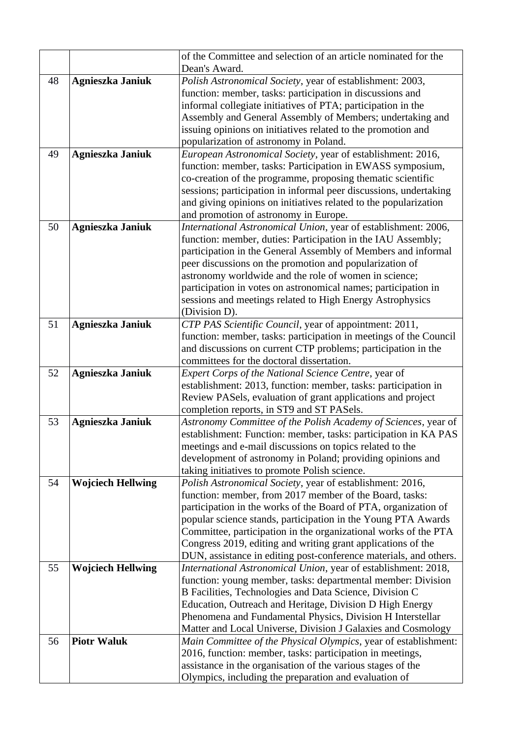|    |                          | of the Committee and selection of an article nominated for the<br>Dean's Award.                             |
|----|--------------------------|-------------------------------------------------------------------------------------------------------------|
| 48 | Agnieszka Janiuk         | Polish Astronomical Society, year of establishment: 2003,                                                   |
|    |                          | function: member, tasks: participation in discussions and                                                   |
|    |                          | informal collegiate initiatives of PTA; participation in the                                                |
|    |                          | Assembly and General Assembly of Members; undertaking and                                                   |
|    |                          | issuing opinions on initiatives related to the promotion and                                                |
|    |                          | popularization of astronomy in Poland.                                                                      |
| 49 | Agnieszka Janiuk         | European Astronomical Society, year of establishment: 2016,                                                 |
|    |                          | function: member, tasks: Participation in EWASS symposium,                                                  |
|    |                          | co-creation of the programme, proposing thematic scientific                                                 |
|    |                          | sessions; participation in informal peer discussions, undertaking                                           |
|    |                          | and giving opinions on initiatives related to the popularization                                            |
|    |                          | and promotion of astronomy in Europe.                                                                       |
| 50 | Agnieszka Janiuk         | International Astronomical Union, year of establishment: 2006,                                              |
|    |                          | function: member, duties: Participation in the IAU Assembly;                                                |
|    |                          | participation in the General Assembly of Members and informal                                               |
|    |                          | peer discussions on the promotion and popularization of                                                     |
|    |                          | astronomy worldwide and the role of women in science;                                                       |
|    |                          | participation in votes on astronomical names; participation in                                              |
|    |                          | sessions and meetings related to High Energy Astrophysics                                                   |
|    |                          | (Division D).                                                                                               |
| 51 | Agnieszka Janiuk         | CTP PAS Scientific Council, year of appointment: 2011,                                                      |
|    |                          | function: member, tasks: participation in meetings of the Council                                           |
|    |                          | and discussions on current CTP problems; participation in the                                               |
|    |                          | committees for the doctoral dissertation.                                                                   |
| 52 | Agnieszka Janiuk         | Expert Corps of the National Science Centre, year of                                                        |
|    |                          | establishment: 2013, function: member, tasks: participation in                                              |
|    |                          | Review PASels, evaluation of grant applications and project                                                 |
|    |                          | completion reports, in ST9 and ST PASels.                                                                   |
| 53 | Agnieszka Janiuk         | Astronomy Committee of the Polish Academy of Sciences, year of                                              |
|    |                          | establishment: Function: member, tasks: participation in KA PAS                                             |
|    |                          | meetings and e-mail discussions on topics related to the                                                    |
|    |                          | development of astronomy in Poland; providing opinions and<br>taking initiatives to promote Polish science. |
| 54 | <b>Wojciech Hellwing</b> | Polish Astronomical Society, year of establishment: 2016,                                                   |
|    |                          | function: member, from 2017 member of the Board, tasks:                                                     |
|    |                          | participation in the works of the Board of PTA, organization of                                             |
|    |                          | popular science stands, participation in the Young PTA Awards                                               |
|    |                          | Committee, participation in the organizational works of the PTA                                             |
|    |                          | Congress 2019, editing and writing grant applications of the                                                |
|    |                          | DUN, assistance in editing post-conference materials, and others.                                           |
| 55 | <b>Wojciech Hellwing</b> | International Astronomical Union, year of establishment: 2018,                                              |
|    |                          | function: young member, tasks: departmental member: Division                                                |
|    |                          | B Facilities, Technologies and Data Science, Division C                                                     |
|    |                          | Education, Outreach and Heritage, Division D High Energy                                                    |
|    |                          | Phenomena and Fundamental Physics, Division H Interstellar                                                  |
|    |                          | Matter and Local Universe, Division J Galaxies and Cosmology                                                |
| 56 | <b>Piotr Waluk</b>       | Main Committee of the Physical Olympics, year of establishment:                                             |
|    |                          | 2016, function: member, tasks: participation in meetings,                                                   |
|    |                          | assistance in the organisation of the various stages of the                                                 |
|    |                          | Olympics, including the preparation and evaluation of                                                       |